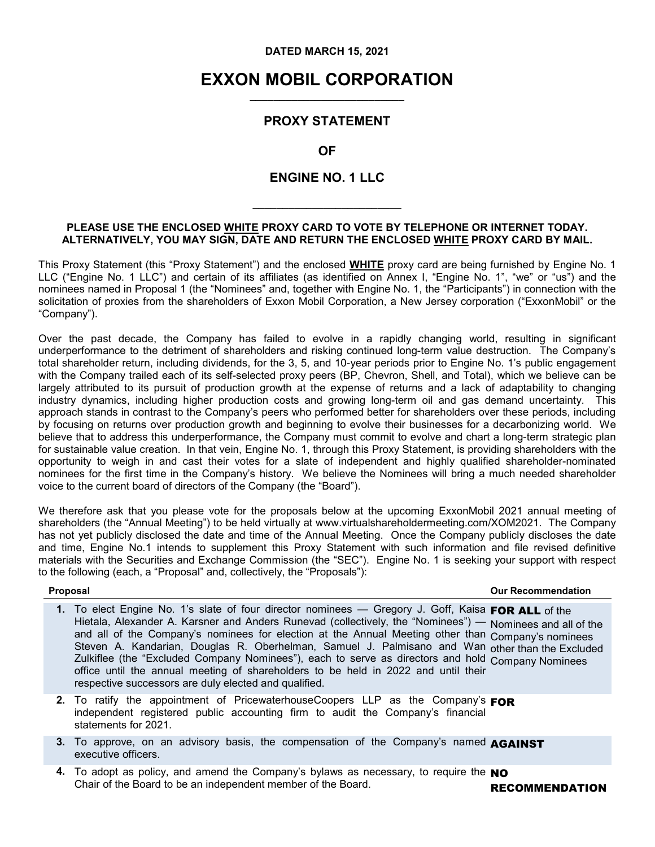#### **DATED MARCH 15, 2021**

#### **EXXON MOBIL CORPORATION \_\_\_\_\_\_\_\_\_\_\_\_\_\_\_\_\_\_\_\_\_\_\_\_\_\_**

#### **PROXY STATEMENT**

**OF**

#### **ENGINE NO. 1 LLC**

**\_\_\_\_\_\_\_\_\_\_\_\_\_\_\_\_\_\_\_\_\_\_\_\_\_**

#### **PLEASE USE THE ENCLOSED WHITE PROXY CARD TO VOTE BY TELEPHONE OR INTERNET TODAY. ALTERNATIVELY, YOU MAY SIGN, DATE AND RETURN THE ENCLOSED WHITE PROXY CARD BY MAIL.**

This Proxy Statement (this "Proxy Statement") and the enclosed **WHITE** proxy card are being furnished by Engine No. 1 LLC ("Engine No. 1 LLC") and certain of its affiliates (as identified on Annex I, "Engine No. 1", "we" or "us") and the nominees named in Proposal 1 (the "Nominees" and, together with Engine No. 1, the "Participants") in connection with the solicitation of proxies from the shareholders of Exxon Mobil Corporation, a New Jersey corporation ("ExxonMobil" or the "Company").

Over the past decade, the Company has failed to evolve in a rapidly changing world, resulting in significant underperformance to the detriment of shareholders and risking continued long-term value destruction. The Company's total shareholder return, including dividends, for the 3, 5, and 10-year periods prior to Engine No. 1's public engagement with the Company trailed each of its self-selected proxy peers (BP, Chevron, Shell, and Total), which we believe can be largely attributed to its pursuit of production growth at the expense of returns and a lack of adaptability to changing industry dynamics, including higher production costs and growing long-term oil and gas demand uncertainty. This approach stands in contrast to the Company's peers who performed better for shareholders over these periods, including by focusing on returns over production growth and beginning to evolve their businesses for a decarbonizing world. We believe that to address this underperformance, the Company must commit to evolve and chart a long-term strategic plan for sustainable value creation. In that vein, Engine No. 1, through this Proxy Statement, is providing shareholders with the opportunity to weigh in and cast their votes for a slate of independent and highly qualified shareholder-nominated nominees for the first time in the Company's history. We believe the Nominees will bring a much needed shareholder voice to the current board of directors of the Company (the "Board").

We therefore ask that you please vote for the proposals below at the upcoming ExxonMobil 2021 annual meeting of shareholders (the "Annual Meeting") to be held virtually at www.virtualshareholdermeeting.com/XOM2021. The Company has not yet publicly disclosed the date and time of the Annual Meeting. Once the Company publicly discloses the date and time, Engine No.1 intends to supplement this Proxy Statement with such information and file revised definitive materials with the Securities and Exchange Commission (the "SEC"). Engine No. 1 is seeking your support with respect to the following (each, a "Proposal" and, collectively, the "Proposals"):

 **Proposal Our Recommendation**

| 1. To elect Engine No. 1's slate of four director nominees — Gregory J. Goff, Kaisa FOR ALL of the        |
|-----------------------------------------------------------------------------------------------------------|
| Hietala, Alexander A. Karsner and Anders Runevad (collectively, the "Nominees") — Nominees and all of the |
| and all of the Company's nominees for election at the Annual Meeting other than Company's nominees        |
| Steven A. Kandarian, Douglas R. Oberhelman, Samuel J. Palmisano and Wan other than the Excluded           |
| Zulkiflee (the "Excluded Company Nominees"), each to serve as directors and hold Company Nominees         |
| office until the annual meeting of shareholders to be held in 2022 and until their                        |
| respective successors are duly elected and qualified.                                                     |

- **2.** To ratify the appointment of PricewaterhouseCoopers LLP as the Company's FOR independent registered public accounting firm to audit the Company's financial statements for 2021.
- **3.** To approve, on an advisory basis, the compensation of the Company's named AGAINST executive officers.
- **4.** To adopt as policy, and amend the Company's bylaws as necessary, to require the **NO**<br>Chair of the Board to be an independent member of the Board.

RECOMMENDATION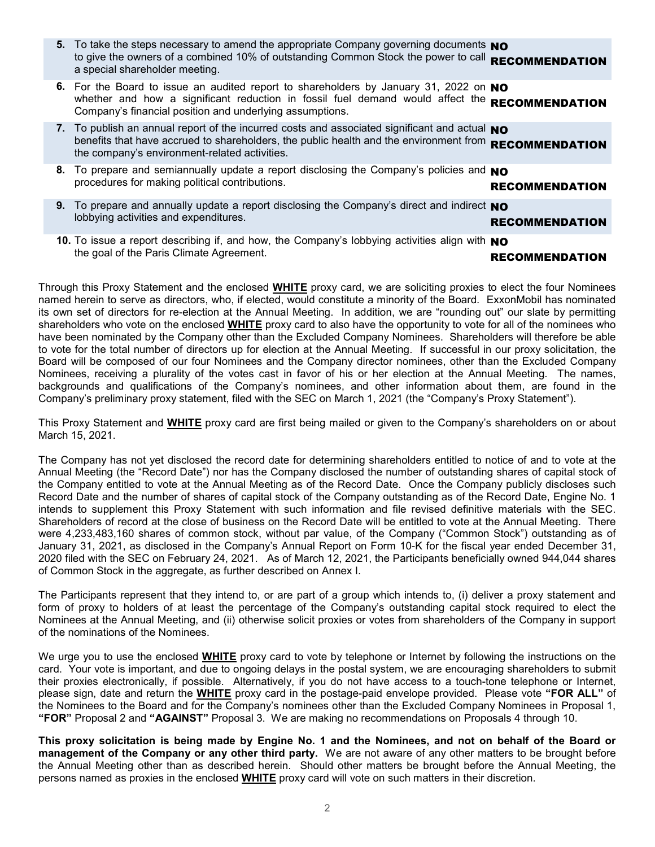| 5. To take the steps necessary to amend the appropriate Company governing documents NO<br>to give the owners of a combined 10% of outstanding Common Stock the power to call RECOMMENDATION<br>a special shareholder meeting.                      |                       |
|----------------------------------------------------------------------------------------------------------------------------------------------------------------------------------------------------------------------------------------------------|-----------------------|
| 6. For the Board to issue an audited report to shareholders by January 31, 2022 on NO<br>whether and how a significant reduction in fossil fuel demand would affect the RECOMMENDATION<br>Company's financial position and underlying assumptions. |                       |
| 7. To publish an annual report of the incurred costs and associated significant and actual NO<br>benefits that have accrued to shareholders, the public health and the environment from<br>the company's environment-related activities.           | <b>RECOMMENDATION</b> |
| 8. To prepare and semiannually update a report disclosing the Company's policies and NO<br>procedures for making political contributions.                                                                                                          | <b>RECOMMENDATION</b> |
| 9. To prepare and annually update a report disclosing the Company's direct and indirect NO<br>lobbying activities and expenditures.                                                                                                                | <b>RECOMMENDATION</b> |
| 10. To issue a report describing if, and how, the Company's lobbying activities align with NO<br>the goal of the Paris Climate Agreement.                                                                                                          | RECOMMENDATION        |

Through this Proxy Statement and the enclosed **WHITE** proxy card, we are soliciting proxies to elect the four Nominees named herein to serve as directors, who, if elected, would constitute a minority of the Board. ExxonMobil has nominated its own set of directors for re-election at the Annual Meeting. In addition, we are "rounding out" our slate by permitting shareholders who vote on the enclosed **WHITE** proxy card to also have the opportunity to vote for all of the nominees who have been nominated by the Company other than the Excluded Company Nominees. Shareholders will therefore be able to vote for the total number of directors up for election at the Annual Meeting. If successful in our proxy solicitation, the Board will be composed of our four Nominees and the Company director nominees, other than the Excluded Company Nominees, receiving a plurality of the votes cast in favor of his or her election at the Annual Meeting. The names, backgrounds and qualifications of the Company's nominees, and other information about them, are found in the Company's preliminary proxy statement, filed with the SEC on March 1, 2021 (the "Company's Proxy Statement").

This Proxy Statement and **WHITE** proxy card are first being mailed or given to the Company's shareholders on or about March 15, 2021.

The Company has not yet disclosed the record date for determining shareholders entitled to notice of and to vote at the Annual Meeting (the "Record Date") nor has the Company disclosed the number of outstanding shares of capital stock of the Company entitled to vote at the Annual Meeting as of the Record Date. Once the Company publicly discloses such Record Date and the number of shares of capital stock of the Company outstanding as of the Record Date, Engine No. 1 intends to supplement this Proxy Statement with such information and file revised definitive materials with the SEC. Shareholders of record at the close of business on the Record Date will be entitled to vote at the Annual Meeting. There were 4,233,483,160 shares of common stock, without par value, of the Company ("Common Stock") outstanding as of January 31, 2021, as disclosed in the Company's Annual Report on Form 10-K for the fiscal year ended December 31, 2020 filed with the SEC on February 24, 2021. As of March 12, 2021, the Participants beneficially owned 944,044 shares of Common Stock in the aggregate, as further described on Annex I.

The Participants represent that they intend to, or are part of a group which intends to, (i) deliver a proxy statement and form of proxy to holders of at least the percentage of the Company's outstanding capital stock required to elect the Nominees at the Annual Meeting, and (ii) otherwise solicit proxies or votes from shareholders of the Company in support of the nominations of the Nominees.

We urge you to use the enclosed **WHITE** proxy card to vote by telephone or Internet by following the instructions on the card. Your vote is important, and due to ongoing delays in the postal system, we are encouraging shareholders to submit their proxies electronically, if possible. Alternatively, if you do not have access to a touch-tone telephone or Internet, please sign, date and return the **WHITE** proxy card in the postage-paid envelope provided. Please vote **"FOR ALL"** of the Nominees to the Board and for the Company's nominees other than the Excluded Company Nominees in Proposal 1, **"FOR"** Proposal 2 and **"AGAINST"** Proposal 3. We are making no recommendations on Proposals 4 through 10.

**This proxy solicitation is being made by Engine No. 1 and the Nominees, and not on behalf of the Board or management of the Company or any other third party.** We are not aware of any other matters to be brought before the Annual Meeting other than as described herein. Should other matters be brought before the Annual Meeting, the persons named as proxies in the enclosed **WHITE** proxy card will vote on such matters in their discretion.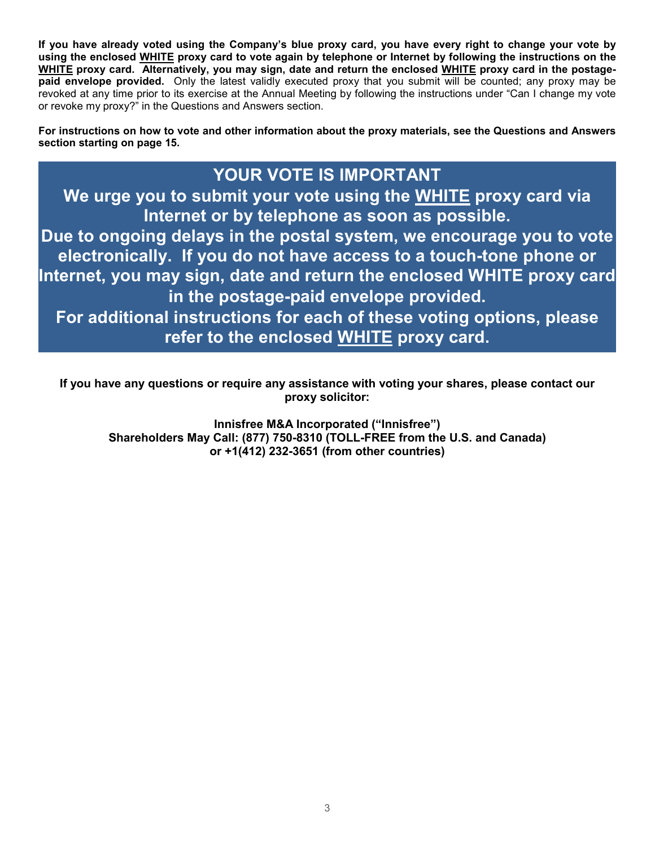**If you have already voted using the Company's blue proxy card, you have every right to change your vote by using the enclosed WHITE proxy card to vote again by telephone or Internet by following the instructions on the WHITE proxy card. Alternatively, you may sign, date and return the enclosed WHITE proxy card in the postagepaid envelope provided.** Only the latest validly executed proxy that you submit will be counted; any proxy may be revoked at any time prior to its exercise at the Annual Meeting by following the instructions under "Can I change my vote or revoke my proxy?" in the Questions and Answers section.

**For instructions on how to vote and other information about the proxy materials, see the Questions and Answers section starting on page 15.**

### **YOUR VOTE IS IMPORTANT**

**We urge you to submit your vote using the WHITE proxy card via Internet or by telephone as soon as possible.** 

**Due to ongoing delays in the postal system, we encourage you to vote electronically. If you do not have access to a touch-tone phone or Internet, you may sign, date and return the enclosed WHITE proxy card in the postage-paid envelope provided.** 

**For additional instructions for each of these voting options, please refer to the enclosed WHITE proxy card.** 

**If you have any questions or require any assistance with voting your shares, please contact our proxy solicitor:**

**Innisfree M&A Incorporated ("Innisfree") Shareholders May Call: (877) 750-8310 (TOLL-FREE from the U.S. and Canada) or +1(412) 232-3651 (from other countries)**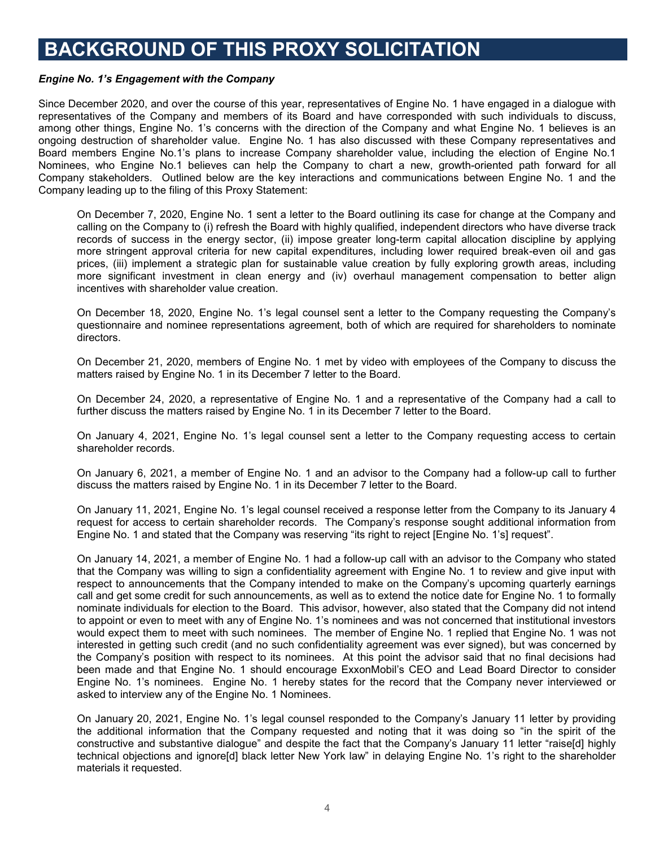### **BACKGROUND OF THIS PROXY SOLICITATION**

#### *Engine No. 1's Engagement with the Company*

Since December 2020, and over the course of this year, representatives of Engine No. 1 have engaged in a dialogue with representatives of the Company and members of its Board and have corresponded with such individuals to discuss, among other things, Engine No. 1's concerns with the direction of the Company and what Engine No. 1 believes is an ongoing destruction of shareholder value. Engine No. 1 has also discussed with these Company representatives and Board members Engine No.1's plans to increase Company shareholder value, including the election of Engine No.1 Nominees, who Engine No.1 believes can help the Company to chart a new, growth-oriented path forward for all Company stakeholders. Outlined below are the key interactions and communications between Engine No. 1 and the Company leading up to the filing of this Proxy Statement:

On December 7, 2020, Engine No. 1 sent a letter to the Board outlining its case for change at the Company and calling on the Company to (i) refresh the Board with highly qualified, independent directors who have diverse track records of success in the energy sector, (ii) impose greater long-term capital allocation discipline by applying more stringent approval criteria for new capital expenditures, including lower required break-even oil and gas prices, (iii) implement a strategic plan for sustainable value creation by fully exploring growth areas, including more significant investment in clean energy and (iv) overhaul management compensation to better align incentives with shareholder value creation.

On December 18, 2020, Engine No. 1's legal counsel sent a letter to the Company requesting the Company's questionnaire and nominee representations agreement, both of which are required for shareholders to nominate directors.

On December 21, 2020, members of Engine No. 1 met by video with employees of the Company to discuss the matters raised by Engine No. 1 in its December 7 letter to the Board.

On December 24, 2020, a representative of Engine No. 1 and a representative of the Company had a call to further discuss the matters raised by Engine No. 1 in its December 7 letter to the Board.

On January 4, 2021, Engine No. 1's legal counsel sent a letter to the Company requesting access to certain shareholder records.

On January 6, 2021, a member of Engine No. 1 and an advisor to the Company had a follow-up call to further discuss the matters raised by Engine No. 1 in its December 7 letter to the Board.

On January 11, 2021, Engine No. 1's legal counsel received a response letter from the Company to its January 4 request for access to certain shareholder records. The Company's response sought additional information from Engine No. 1 and stated that the Company was reserving "its right to reject [Engine No. 1's] request".

On January 14, 2021, a member of Engine No. 1 had a follow-up call with an advisor to the Company who stated that the Company was willing to sign a confidentiality agreement with Engine No. 1 to review and give input with respect to announcements that the Company intended to make on the Company's upcoming quarterly earnings call and get some credit for such announcements, as well as to extend the notice date for Engine No. 1 to formally nominate individuals for election to the Board. This advisor, however, also stated that the Company did not intend to appoint or even to meet with any of Engine No. 1's nominees and was not concerned that institutional investors would expect them to meet with such nominees. The member of Engine No. 1 replied that Engine No. 1 was not interested in getting such credit (and no such confidentiality agreement was ever signed), but was concerned by the Company's position with respect to its nominees. At this point the advisor said that no final decisions had been made and that Engine No. 1 should encourage ExxonMobil's CEO and Lead Board Director to consider Engine No. 1's nominees. Engine No. 1 hereby states for the record that the Company never interviewed or asked to interview any of the Engine No. 1 Nominees.

On January 20, 2021, Engine No. 1's legal counsel responded to the Company's January 11 letter by providing the additional information that the Company requested and noting that it was doing so "in the spirit of the constructive and substantive dialogue" and despite the fact that the Company's January 11 letter "raise[d] highly technical objections and ignore[d] black letter New York law" in delaying Engine No. 1's right to the shareholder materials it requested.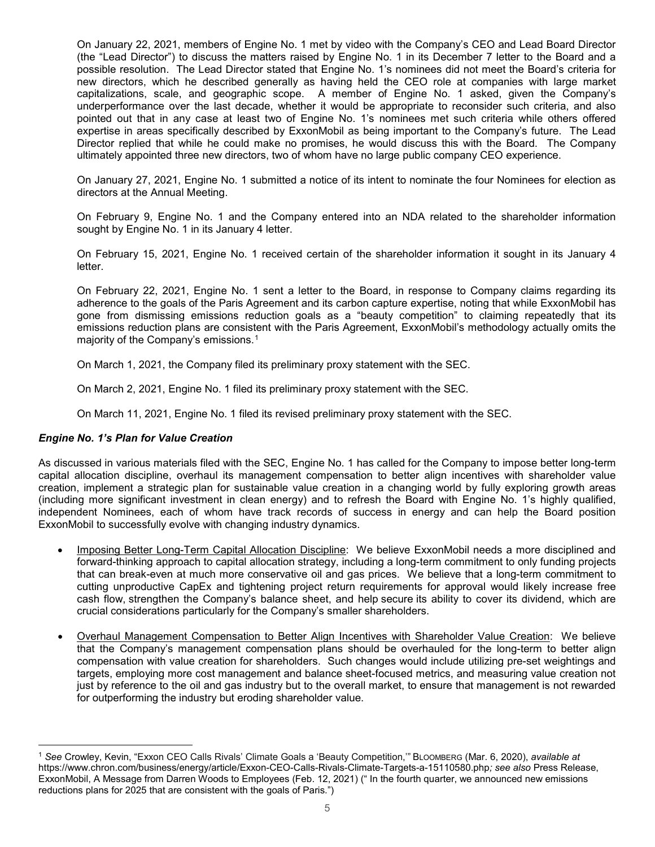On January 22, 2021, members of Engine No. 1 met by video with the Company's CEO and Lead Board Director (the "Lead Director") to discuss the matters raised by Engine No. 1 in its December 7 letter to the Board and a possible resolution. The Lead Director stated that Engine No. 1's nominees did not meet the Board's criteria for new directors, which he described generally as having held the CEO role at companies with large market capitalizations, scale, and geographic scope. A member of Engine No. 1 asked, given the Company's underperformance over the last decade, whether it would be appropriate to reconsider such criteria, and also pointed out that in any case at least two of Engine No. 1's nominees met such criteria while others offered expertise in areas specifically described by ExxonMobil as being important to the Company's future. The Lead Director replied that while he could make no promises, he would discuss this with the Board. The Company ultimately appointed three new directors, two of whom have no large public company CEO experience.

On January 27, 2021, Engine No. 1 submitted a notice of its intent to nominate the four Nominees for election as directors at the Annual Meeting.

On February 9, Engine No. 1 and the Company entered into an NDA related to the shareholder information sought by Engine No. 1 in its January 4 letter.

On February 15, 2021, Engine No. 1 received certain of the shareholder information it sought in its January 4 letter.

On February 22, 2021, Engine No. 1 sent a letter to the Board, in response to Company claims regarding its adherence to the goals of the Paris Agreement and its carbon capture expertise, noting that while ExxonMobil has gone from dismissing emissions reduction goals as a "beauty competition" to claiming repeatedly that its emissions reduction plans are consistent with the Paris Agreement, ExxonMobil's methodology actually omits the majority of the Company's emissions.[1](#page-4-0)

On March 1, 2021, the Company filed its preliminary proxy statement with the SEC.

On March 2, 2021, Engine No. 1 filed its preliminary proxy statement with the SEC.

On March 11, 2021, Engine No. 1 filed its revised preliminary proxy statement with the SEC.

#### *Engine No. 1's Plan for Value Creation*

 $\overline{a}$ 

As discussed in various materials filed with the SEC, Engine No. 1 has called for the Company to impose better long-term capital allocation discipline, overhaul its management compensation to better align incentives with shareholder value creation, implement a strategic plan for sustainable value creation in a changing world by fully exploring growth areas (including more significant investment in clean energy) and to refresh the Board with Engine No. 1's highly qualified, independent Nominees, each of whom have track records of success in energy and can help the Board position ExxonMobil to successfully evolve with changing industry dynamics.

- Imposing Better Long-Term Capital Allocation Discipline: We believe ExxonMobil needs a more disciplined and forward-thinking approach to capital allocation strategy, including a long-term commitment to only funding projects that can break-even at much more conservative oil and gas prices. We believe that a long-term commitment to cutting unproductive CapEx and tightening project return requirements for approval would likely increase free cash flow, strengthen the Company's balance sheet, and help secure its ability to cover its dividend, which are crucial considerations particularly for the Company's smaller shareholders.
- Overhaul Management Compensation to Better Align Incentives with Shareholder Value Creation: We believe that the Company's management compensation plans should be overhauled for the long-term to better align compensation with value creation for shareholders. Such changes would include utilizing pre-set weightings and targets, employing more cost management and balance sheet-focused metrics, and measuring value creation not just by reference to the oil and gas industry but to the overall market, to ensure that management is not rewarded for outperforming the industry but eroding shareholder value.

<span id="page-4-0"></span><sup>1</sup> *See* Crowley, Kevin, "Exxon CEO Calls Rivals' Climate Goals a 'Beauty Competition,'" BLOOMBERG (Mar. 6, 2020), *available at* https://www.chron.com/business/energy/article/Exxon-CEO-Calls-Rivals-Climate-Targets-a-15110580.php*; see also* Press Release, ExxonMobil, A Message from Darren Woods to Employees (Feb. 12, 2021) (" In the fourth quarter, we announced new emissions reductions plans for 2025 that are consistent with the goals of Paris.")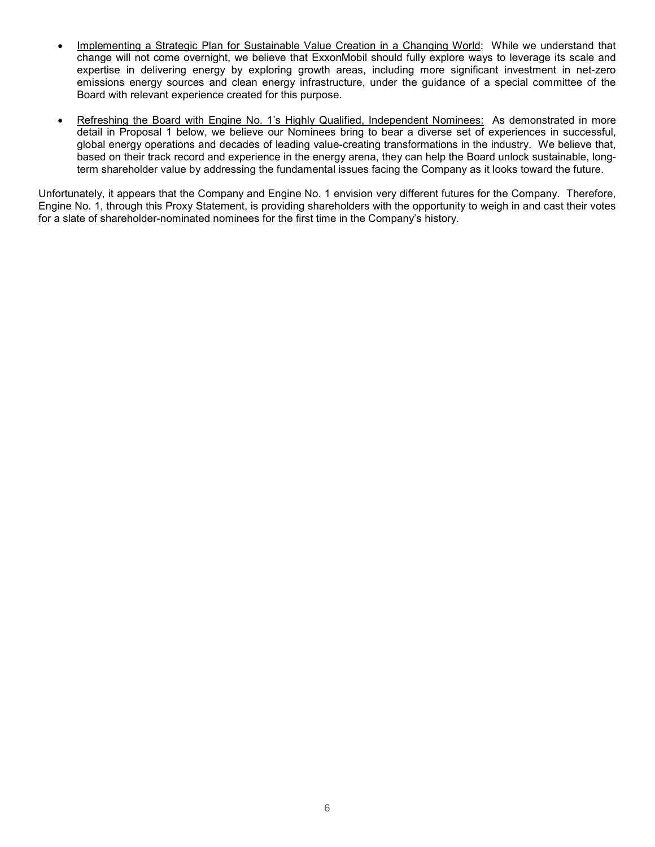- Implementing a Strategic Plan for Sustainable Value Creation in a Changing World: While we understand that change will not come overnight, we believe that ExxonMobil should fully explore ways to leverage its scale and expertise in delivering energy by exploring growth areas, including more significant investment in net-zero emissions energy sources and clean energy infrastructure, under the guidance of a special committee of the Board with relevant experience created for this purpose.
- Refreshing the Board with Engine No. 1's Highly Qualified, Independent Nominees: As demonstrated in more detail in Proposal 1 below, we believe our Nominees bring to bear a diverse set of experiences in successful, global energy operations and decades of leading value-creating transformations in the industry. We believe that, based on their track record and experience in the energy arena, they can help the Board unlock sustainable, longterm shareholder value by addressing the fundamental issues facing the Company as it looks toward the future.

Unfortunately, it appears that the Company and Engine No. 1 envision very different futures for the Company. Therefore, Engine No. 1, through this Proxy Statement, is providing shareholders with the opportunity to weigh in and cast their votes for a slate of shareholder-nominated nominees for the first time in the Company's history.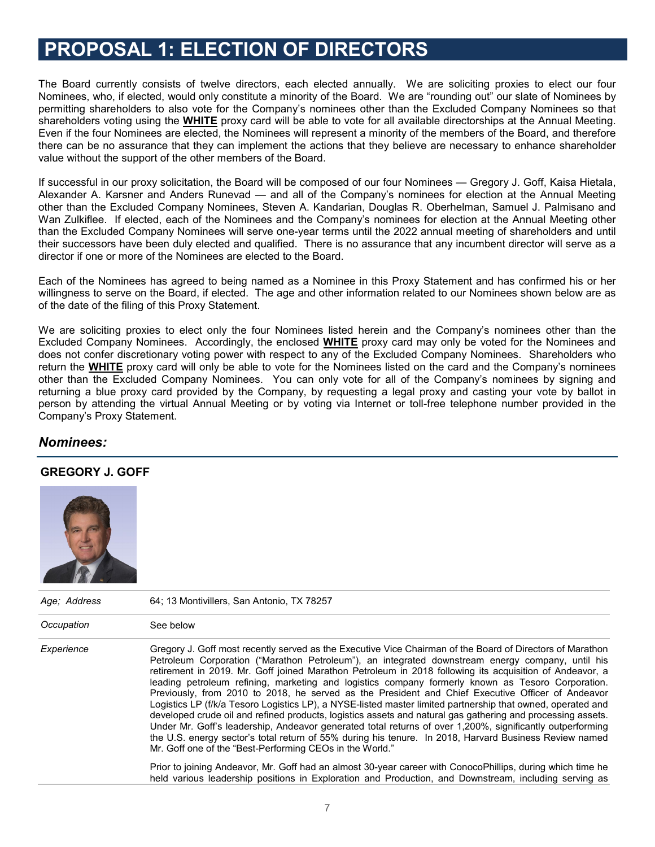### **PROPOSAL 1: ELECTION OF DIRECTORS**

The Board currently consists of twelve directors, each elected annually. We are soliciting proxies to elect our four Nominees, who, if elected, would only constitute a minority of the Board. We are "rounding out" our slate of Nominees by permitting shareholders to also vote for the Company's nominees other than the Excluded Company Nominees so that shareholders voting using the **WHITE** proxy card will be able to vote for all available directorships at the Annual Meeting. Even if the four Nominees are elected, the Nominees will represent a minority of the members of the Board, and therefore there can be no assurance that they can implement the actions that they believe are necessary to enhance shareholder value without the support of the other members of the Board.

If successful in our proxy solicitation, the Board will be composed of our four Nominees — Gregory J. Goff, Kaisa Hietala, Alexander A. Karsner and Anders Runevad — and all of the Company's nominees for election at the Annual Meeting other than the Excluded Company Nominees, Steven A. Kandarian, Douglas R. Oberhelman, Samuel J. Palmisano and Wan Zulkiflee. If elected, each of the Nominees and the Company's nominees for election at the Annual Meeting other than the Excluded Company Nominees will serve one-year terms until the 2022 annual meeting of shareholders and until their successors have been duly elected and qualified. There is no assurance that any incumbent director will serve as a director if one or more of the Nominees are elected to the Board.

Each of the Nominees has agreed to being named as a Nominee in this Proxy Statement and has confirmed his or her willingness to serve on the Board, if elected. The age and other information related to our Nominees shown below are as of the date of the filing of this Proxy Statement.

We are soliciting proxies to elect only the four Nominees listed herein and the Company's nominees other than the Excluded Company Nominees. Accordingly, the enclosed **WHITE** proxy card may only be voted for the Nominees and does not confer discretionary voting power with respect to any of the Excluded Company Nominees. Shareholders who return the **WHITE** proxy card will only be able to vote for the Nominees listed on the card and the Company's nominees other than the Excluded Company Nominees. You can only vote for all of the Company's nominees by signing and returning a blue proxy card provided by the Company, by requesting a legal proxy and casting your vote by ballot in person by attending the virtual Annual Meeting or by voting via Internet or toll-free telephone number provided in the Company's Proxy Statement.

#### *Nominees:*

#### **GREGORY J. GOFF**



| Age: Address | 64; 13 Montivillers, San Antonio, TX 78257                                                                                                                                                                                                                                                                                                                                                                                                                                                                                                                                                                                                                                                                                                                                                                                                                                                                                                                                                                                                          |  |  |
|--------------|-----------------------------------------------------------------------------------------------------------------------------------------------------------------------------------------------------------------------------------------------------------------------------------------------------------------------------------------------------------------------------------------------------------------------------------------------------------------------------------------------------------------------------------------------------------------------------------------------------------------------------------------------------------------------------------------------------------------------------------------------------------------------------------------------------------------------------------------------------------------------------------------------------------------------------------------------------------------------------------------------------------------------------------------------------|--|--|
| Occupation   | See below                                                                                                                                                                                                                                                                                                                                                                                                                                                                                                                                                                                                                                                                                                                                                                                                                                                                                                                                                                                                                                           |  |  |
| Experience   | Gregory J. Goff most recently served as the Executive Vice Chairman of the Board of Directors of Marathon<br>Petroleum Corporation ("Marathon Petroleum"), an integrated downstream energy company, until his<br>retirement in 2019. Mr. Goff joined Marathon Petroleum in 2018 following its acquisition of Andeavor, a<br>leading petroleum refining, marketing and logistics company formerly known as Tesoro Corporation.<br>Previously, from 2010 to 2018, he served as the President and Chief Executive Officer of Andeavor<br>Logistics LP (f/k/a Tesoro Logistics LP), a NYSE-listed master limited partnership that owned, operated and<br>developed crude oil and refined products, logistics assets and natural gas gathering and processing assets.<br>Under Mr. Goff's leadership, Andeavor generated total returns of over 1,200%, significantly outperforming<br>the U.S. energy sector's total return of 55% during his tenure. In 2018, Harvard Business Review named<br>Mr. Goff one of the "Best-Performing CEOs in the World." |  |  |
|              | Prior to joining Andeavor, Mr. Goff had an almost 30-year career with ConocoPhillips, during which time he<br>held various leadership positions in Exploration and Production, and Downstream, including serving as                                                                                                                                                                                                                                                                                                                                                                                                                                                                                                                                                                                                                                                                                                                                                                                                                                 |  |  |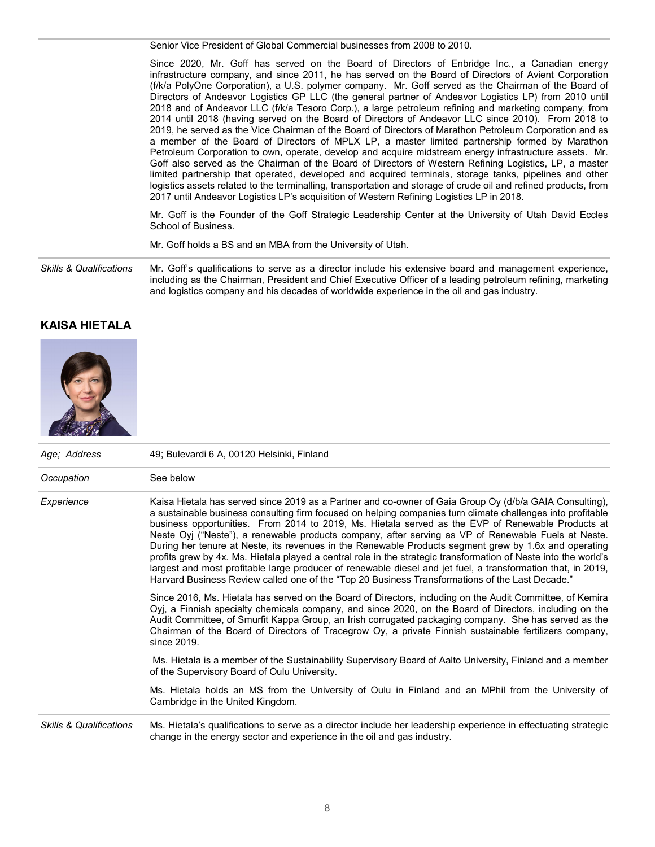Senior Vice President of Global Commercial businesses from 2008 to 2010.

Since 2020, Mr. Goff has served on the Board of Directors of Enbridge Inc., a Canadian energy infrastructure company, and since 2011, he has served on the Board of Directors of Avient Corporation (f/k/a PolyOne Corporation), a U.S. polymer company. Mr. Goff served as the Chairman of the Board of Directors of Andeavor Logistics GP LLC (the general partner of Andeavor Logistics LP) from 2010 until 2018 and of Andeavor LLC (f/k/a Tesoro Corp.), a large petroleum refining and marketing company, from 2014 until 2018 (having served on the Board of Directors of Andeavor LLC since 2010). From 2018 to 2019, he served as the Vice Chairman of the Board of Directors of Marathon Petroleum Corporation and as a member of the Board of Directors of MPLX LP, a master limited partnership formed by Marathon Petroleum Corporation to own, operate, develop and acquire midstream energy infrastructure assets. Mr. Goff also served as the Chairman of the Board of Directors of Western Refining Logistics, LP, a master limited partnership that operated, developed and acquired terminals, storage tanks, pipelines and other logistics assets related to the terminalling, transportation and storage of crude oil and refined products, from 2017 until Andeavor Logistics LP's acquisition of Western Refining Logistics LP in 2018.

Mr. Goff is the Founder of the Goff Strategic Leadership Center at the University of Utah David Eccles School of Business.

Mr. Goff holds a BS and an MBA from the University of Utah.

*Skills & Qualifications* Mr. Goff's qualifications to serve as a director include his extensive board and management experience, including as the Chairman, President and Chief Executive Officer of a leading petroleum refining, marketing and logistics company and his decades of worldwide experience in the oil and gas industry.

#### **KAISA HIETALA**



| Age; Address                       | 49; Bulevardi 6 A, 00120 Helsinki, Finland<br>See below                                                                                                                                                                                                                                                                                                                                                                                                                                                                                                                                                                                                                                                                                                                                                                                                                           |  |  |  |
|------------------------------------|-----------------------------------------------------------------------------------------------------------------------------------------------------------------------------------------------------------------------------------------------------------------------------------------------------------------------------------------------------------------------------------------------------------------------------------------------------------------------------------------------------------------------------------------------------------------------------------------------------------------------------------------------------------------------------------------------------------------------------------------------------------------------------------------------------------------------------------------------------------------------------------|--|--|--|
| Occupation                         |                                                                                                                                                                                                                                                                                                                                                                                                                                                                                                                                                                                                                                                                                                                                                                                                                                                                                   |  |  |  |
| Experience                         | Kaisa Hietala has served since 2019 as a Partner and co-owner of Gaia Group Oy (d/b/a GAIA Consulting),<br>a sustainable business consulting firm focused on helping companies turn climate challenges into profitable<br>business opportunities. From 2014 to 2019, Ms. Hietala served as the EVP of Renewable Products at<br>Neste Oyj ("Neste"), a renewable products company, after serving as VP of Renewable Fuels at Neste.<br>During her tenure at Neste, its revenues in the Renewable Products segment grew by 1.6x and operating<br>profits grew by 4x. Ms. Hietala played a central role in the strategic transformation of Neste into the world's<br>largest and most profitable large producer of renewable diesel and jet fuel, a transformation that, in 2019,<br>Harvard Business Review called one of the "Top 20 Business Transformations of the Last Decade." |  |  |  |
|                                    | Since 2016, Ms. Hietala has served on the Board of Directors, including on the Audit Committee, of Kemira<br>Oyj, a Finnish specialty chemicals company, and since 2020, on the Board of Directors, including on the<br>Audit Committee, of Smurfit Kappa Group, an Irish corrugated packaging company. She has served as the<br>Chairman of the Board of Directors of Tracegrow Oy, a private Finnish sustainable fertilizers company,<br>since 2019.                                                                                                                                                                                                                                                                                                                                                                                                                            |  |  |  |
|                                    | Ms. Hietala is a member of the Sustainability Supervisory Board of Aalto University, Finland and a member<br>of the Supervisory Board of Oulu University.                                                                                                                                                                                                                                                                                                                                                                                                                                                                                                                                                                                                                                                                                                                         |  |  |  |
|                                    | Ms. Hietala holds an MS from the University of Oulu in Finland and an MPhil from the University of<br>Cambridge in the United Kingdom.                                                                                                                                                                                                                                                                                                                                                                                                                                                                                                                                                                                                                                                                                                                                            |  |  |  |
| <b>Skills &amp; Qualifications</b> | Ms. Hietala's qualifications to serve as a director include her leadership experience in effectuating strategic<br>change in the energy sector and experience in the oil and gas industry.                                                                                                                                                                                                                                                                                                                                                                                                                                                                                                                                                                                                                                                                                        |  |  |  |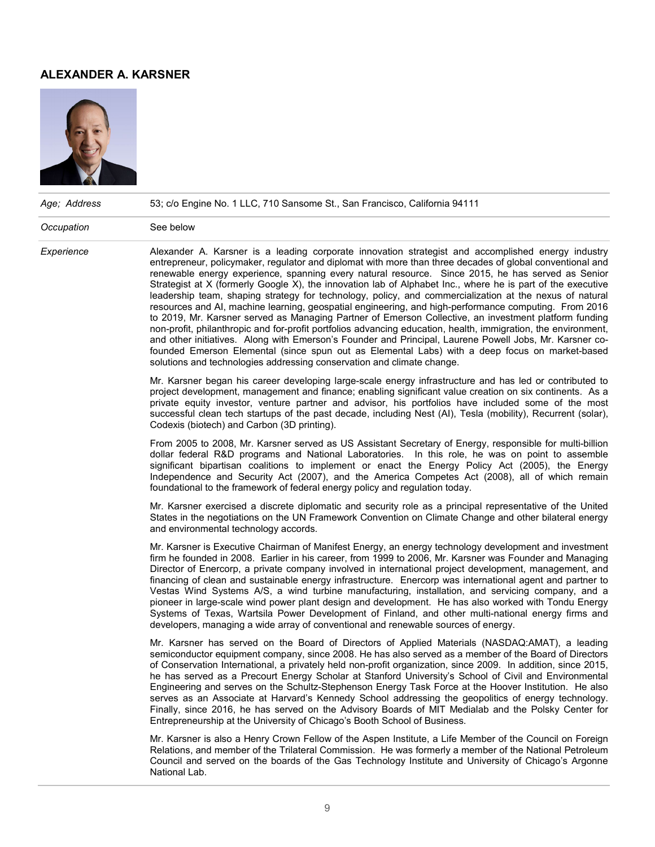#### **ALEXANDER A. KARSNER**



| Age; Address | 53; c/o Engine No. 1 LLC, 710 Sansome St., San Francisco, California 94111<br>See below                                                                                                                                                                                                                                                                                                                                                                                                                                                                                                                                                                                                                                                                                                                                                                                                                                                                                                                                                                                                                                                                                   |  |  |  |
|--------------|---------------------------------------------------------------------------------------------------------------------------------------------------------------------------------------------------------------------------------------------------------------------------------------------------------------------------------------------------------------------------------------------------------------------------------------------------------------------------------------------------------------------------------------------------------------------------------------------------------------------------------------------------------------------------------------------------------------------------------------------------------------------------------------------------------------------------------------------------------------------------------------------------------------------------------------------------------------------------------------------------------------------------------------------------------------------------------------------------------------------------------------------------------------------------|--|--|--|
| Occupation   |                                                                                                                                                                                                                                                                                                                                                                                                                                                                                                                                                                                                                                                                                                                                                                                                                                                                                                                                                                                                                                                                                                                                                                           |  |  |  |
| Experience   | Alexander A. Karsner is a leading corporate innovation strategist and accomplished energy industry<br>entrepreneur, policymaker, regulator and diplomat with more than three decades of global conventional and<br>renewable energy experience, spanning every natural resource. Since 2015, he has served as Senior<br>Strategist at X (formerly Google X), the innovation lab of Alphabet Inc., where he is part of the executive<br>leadership team, shaping strategy for technology, policy, and commercialization at the nexus of natural<br>resources and AI, machine learning, geospatial engineering, and high-performance computing. From 2016<br>to 2019, Mr. Karsner served as Managing Partner of Emerson Collective, an investment platform funding<br>non-profit, philanthropic and for-profit portfolios advancing education, health, immigration, the environment,<br>and other initiatives. Along with Emerson's Founder and Principal, Laurene Powell Jobs, Mr. Karsner co-<br>founded Emerson Elemental (since spun out as Elemental Labs) with a deep focus on market-based<br>solutions and technologies addressing conservation and climate change. |  |  |  |
|              | Mr. Karsner began his career developing large-scale energy infrastructure and has led or contributed to<br>project development, management and finance; enabling significant value creation on six continents. As a<br>private equity investor, venture partner and advisor, his portfolios have included some of the most<br>successful clean tech startups of the past decade, including Nest (AI), Tesla (mobility), Recurrent (solar),<br>Codexis (biotech) and Carbon (3D printing).                                                                                                                                                                                                                                                                                                                                                                                                                                                                                                                                                                                                                                                                                 |  |  |  |
|              | From 2005 to 2008, Mr. Karsner served as US Assistant Secretary of Energy, responsible for multi-billion<br>dollar federal R&D programs and National Laboratories. In this role, he was on point to assemble<br>significant bipartisan coalitions to implement or enact the Energy Policy Act (2005), the Energy<br>Independence and Security Act (2007), and the America Competes Act (2008), all of which remain<br>foundational to the framework of federal energy policy and regulation today.                                                                                                                                                                                                                                                                                                                                                                                                                                                                                                                                                                                                                                                                        |  |  |  |
|              | Mr. Karsner exercised a discrete diplomatic and security role as a principal representative of the United<br>States in the negotiations on the UN Framework Convention on Climate Change and other bilateral energy<br>and environmental technology accords.                                                                                                                                                                                                                                                                                                                                                                                                                                                                                                                                                                                                                                                                                                                                                                                                                                                                                                              |  |  |  |
|              | Mr. Karsner is Executive Chairman of Manifest Energy, an energy technology development and investment<br>firm he founded in 2008. Earlier in his career, from 1999 to 2006, Mr. Karsner was Founder and Managing<br>Director of Enercorp, a private company involved in international project development, management, and<br>financing of clean and sustainable energy infrastructure. Enercorp was international agent and partner to<br>Vestas Wind Systems A/S, a wind turbine manufacturing, installation, and servicing company, and a<br>pioneer in large-scale wind power plant design and development. He has also worked with Tondu Energy<br>Systems of Texas, Wartsila Power Development of Finland, and other multi-national energy firms and<br>developers, managing a wide array of conventional and renewable sources of energy.                                                                                                                                                                                                                                                                                                                          |  |  |  |
|              | Mr. Karsner has served on the Board of Directors of Applied Materials (NASDAQ:AMAT), a leading<br>semiconductor equipment company, since 2008. He has also served as a member of the Board of Directors<br>of Conservation International, a privately held non-profit organization, since 2009. In addition, since 2015,<br>he has served as a Precourt Energy Scholar at Stanford University's School of Civil and Environmental<br>Engineering and serves on the Schultz-Stephenson Energy Task Force at the Hoover Institution. He also<br>serves as an Associate at Harvard's Kennedy School addressing the geopolitics of energy technology.<br>Finally, since 2016, he has served on the Advisory Boards of MIT Medialab and the Polsky Center for<br>Entrepreneurship at the University of Chicago's Booth School of Business.                                                                                                                                                                                                                                                                                                                                     |  |  |  |
|              | Mr. Karsner is also a Henry Crown Fellow of the Aspen Institute, a Life Member of the Council on Foreign<br>Relations, and member of the Trilateral Commission. He was formerly a member of the National Petroleum<br>Council and served on the boards of the Gas Technology Institute and University of Chicago's Argonne<br>National Lab.                                                                                                                                                                                                                                                                                                                                                                                                                                                                                                                                                                                                                                                                                                                                                                                                                               |  |  |  |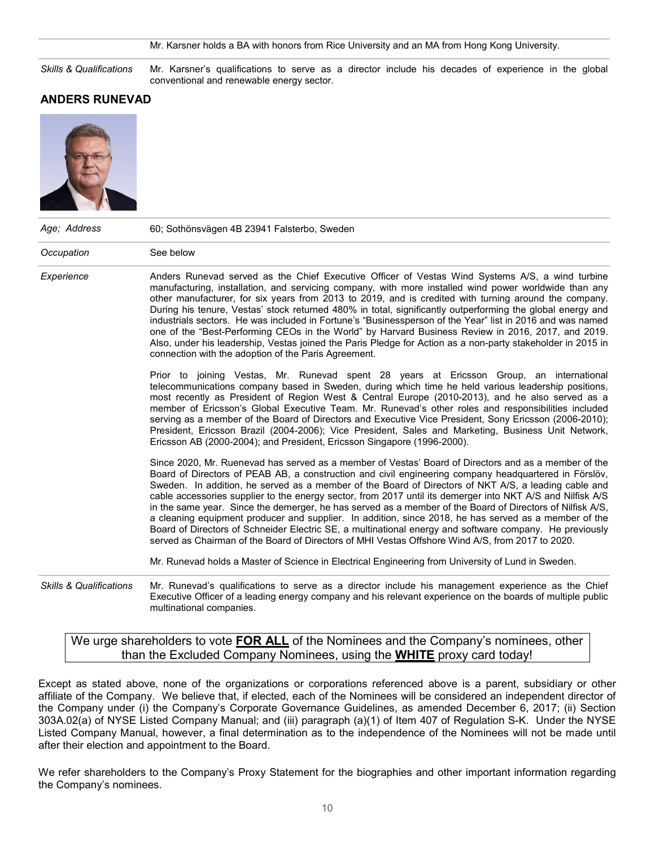#### Mr. Karsner holds a BA with honors from Rice University and an MA from Hong Kong University.

*Skills & Qualifications* Mr. Karsner's qualifications to serve as a director include his decades of experience in the global conventional and renewable energy sector.

#### **ANDERS RUNEVAD**



| Age; Address            | 60; Sothönsvägen 4B 23941 Falsterbo, Sweden                                                                                                                                                                                                                                                                                                                                                                                                                                                                                                                                                                                                                                                                                                                                                                                                                              |
|-------------------------|--------------------------------------------------------------------------------------------------------------------------------------------------------------------------------------------------------------------------------------------------------------------------------------------------------------------------------------------------------------------------------------------------------------------------------------------------------------------------------------------------------------------------------------------------------------------------------------------------------------------------------------------------------------------------------------------------------------------------------------------------------------------------------------------------------------------------------------------------------------------------|
| Occupation              | See below                                                                                                                                                                                                                                                                                                                                                                                                                                                                                                                                                                                                                                                                                                                                                                                                                                                                |
| Experience              | Anders Runevad served as the Chief Executive Officer of Vestas Wind Systems A/S, a wind turbine<br>manufacturing, installation, and servicing company, with more installed wind power worldwide than any<br>other manufacturer, for six years from 2013 to 2019, and is credited with turning around the company.<br>During his tenure, Vestas' stock returned 480% in total, significantly outperforming the global energy and<br>industrials sectors. He was included in Fortune's "Businessperson of the Year" list in 2016 and was named<br>one of the "Best-Performing CEOs in the World" by Harvard Business Review in 2016, 2017, and 2019.<br>Also, under his leadership, Vestas joined the Paris Pledge for Action as a non-party stakeholder in 2015 in<br>connection with the adoption of the Paris Agreement.                                                |
|                         | Prior to joining Vestas, Mr. Runevad spent 28 years at Ericsson Group, an international<br>telecommunications company based in Sweden, during which time he held various leadership positions,<br>most recently as President of Region West & Central Europe (2010-2013), and he also served as a<br>member of Ericsson's Global Executive Team. Mr. Runevad's other roles and responsibilities included<br>serving as a member of the Board of Directors and Executive Vice President, Sony Ericsson (2006-2010);<br>President, Ericsson Brazil (2004-2006); Vice President, Sales and Marketing, Business Unit Network,<br>Ericsson AB (2000-2004); and President, Ericsson Singapore (1996-2000).                                                                                                                                                                     |
|                         | Since 2020, Mr. Ruenevad has served as a member of Vestas' Board of Directors and as a member of the<br>Board of Directors of PEAB AB, a construction and civil engineering company headquartered in Förslöv,<br>Sweden. In addition, he served as a member of the Board of Directors of NKT A/S, a leading cable and<br>cable accessories supplier to the energy sector, from 2017 until its demerger into NKT A/S and Nilfisk A/S<br>in the same year. Since the demerger, he has served as a member of the Board of Directors of Nilfisk A/S,<br>a cleaning equipment producer and supplier. In addition, since 2018, he has served as a member of the<br>Board of Directors of Schneider Electric SE, a multinational energy and software company. He previously<br>served as Chairman of the Board of Directors of MHI Vestas Offshore Wind A/S, from 2017 to 2020. |
|                         | Mr. Runevad holds a Master of Science in Electrical Engineering from University of Lund in Sweden.                                                                                                                                                                                                                                                                                                                                                                                                                                                                                                                                                                                                                                                                                                                                                                       |
| Chille & Qualifications | Mr. Punovad's qualifications to some as a director include his management experience as the Chief                                                                                                                                                                                                                                                                                                                                                                                                                                                                                                                                                                                                                                                                                                                                                                        |

*Skills & Qualifications* Mr. Runevad's qualifications to serve as a director include his management experience as the Chief Executive Officer of a leading energy company and his relevant experience on the boards of multiple public multinational companies.

We urge shareholders to vote **FOR ALL** of the Nominees and the Company's nominees, other than the Excluded Company Nominees, using the **WHITE** proxy card today!

Except as stated above, none of the organizations or corporations referenced above is a parent, subsidiary or other affiliate of the Company. We believe that, if elected, each of the Nominees will be considered an independent director of the Company under (i) the Company's Corporate Governance Guidelines, as amended December 6, 2017; (ii) Section 303A.02(a) of NYSE Listed Company Manual; and (iii) paragraph (a)(1) of Item 407 of Regulation S-K. Under the NYSE Listed Company Manual, however, a final determination as to the independence of the Nominees will not be made until after their election and appointment to the Board.

We refer shareholders to the Company's Proxy Statement for the biographies and other important information regarding the Company's nominees.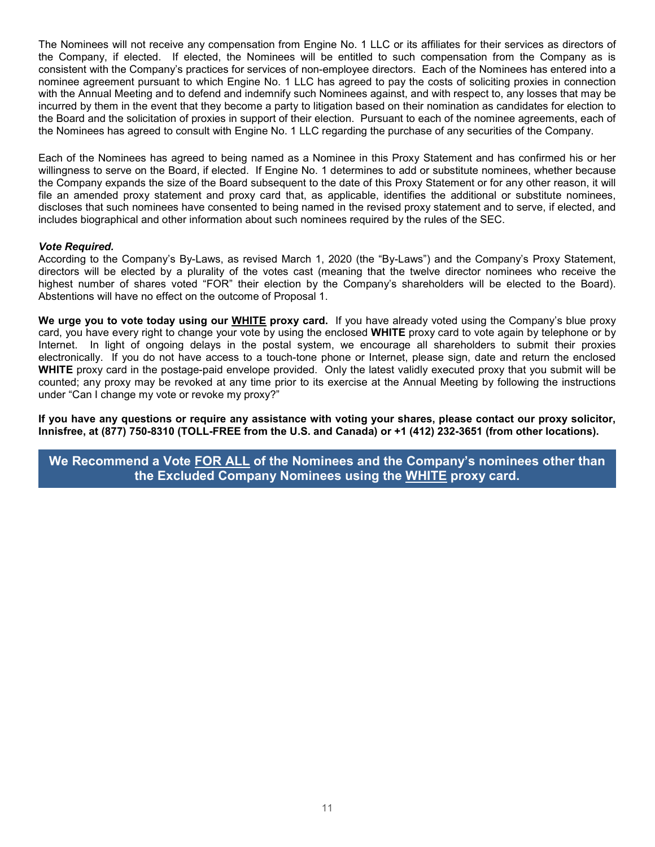The Nominees will not receive any compensation from Engine No. 1 LLC or its affiliates for their services as directors of the Company, if elected. If elected, the Nominees will be entitled to such compensation from the Company as is consistent with the Company's practices for services of non-employee directors. Each of the Nominees has entered into a nominee agreement pursuant to which Engine No. 1 LLC has agreed to pay the costs of soliciting proxies in connection with the Annual Meeting and to defend and indemnify such Nominees against, and with respect to, any losses that may be incurred by them in the event that they become a party to litigation based on their nomination as candidates for election to the Board and the solicitation of proxies in support of their election. Pursuant to each of the nominee agreements, each of the Nominees has agreed to consult with Engine No. 1 LLC regarding the purchase of any securities of the Company.

Each of the Nominees has agreed to being named as a Nominee in this Proxy Statement and has confirmed his or her willingness to serve on the Board, if elected. If Engine No. 1 determines to add or substitute nominees, whether because the Company expands the size of the Board subsequent to the date of this Proxy Statement or for any other reason, it will file an amended proxy statement and proxy card that, as applicable, identifies the additional or substitute nominees, discloses that such nominees have consented to being named in the revised proxy statement and to serve, if elected, and includes biographical and other information about such nominees required by the rules of the SEC.

#### *Vote Required.*

According to the Company's By-Laws, as revised March 1, 2020 (the "By-Laws") and the Company's Proxy Statement, directors will be elected by a plurality of the votes cast (meaning that the twelve director nominees who receive the highest number of shares voted "FOR" their election by the Company's shareholders will be elected to the Board). Abstentions will have no effect on the outcome of Proposal 1.

**We urge you to vote today using our WHITE proxy card.** If you have already voted using the Company's blue proxy card, you have every right to change your vote by using the enclosed **WHITE** proxy card to vote again by telephone or by Internet. In light of ongoing delays in the postal system, we encourage all shareholders to submit their proxies electronically. If you do not have access to a touch-tone phone or Internet, please sign, date and return the enclosed **WHITE** proxy card in the postage-paid envelope provided. Only the latest validly executed proxy that you submit will be counted; any proxy may be revoked at any time prior to its exercise at the Annual Meeting by following the instructions under "Can I change my vote or revoke my proxy?"

**If you have any questions or require any assistance with voting your shares, please contact our proxy solicitor, Innisfree, at (877) 750-8310 (TOLL-FREE from the U.S. and Canada) or +1 (412) 232-3651 (from other locations).**

**We Recommend a Vote FOR ALL of the Nominees and the Company's nominees other than the Excluded Company Nominees using the WHITE proxy card.**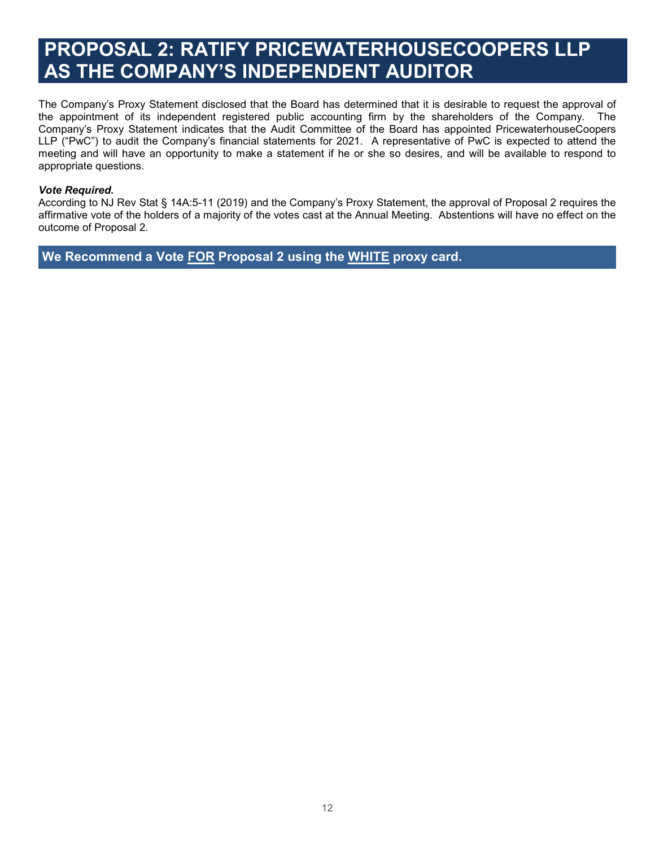## **PROPOSAL 2: RATIFY PRICEWATERHOUSECOOPERS LLP AS THE COMPANY'S INDEPENDENT AUDITOR**

The Company's Proxy Statement disclosed that the Board has determined that it is desirable to request the approval of the appointment of its independent registered public accounting firm by the shareholders of the Company. The Company's Proxy Statement indicates that the Audit Committee of the Board has appointed PricewaterhouseCoopers LLP ("PwC") to audit the Company's financial statements for 2021. A representative of PwC is expected to attend the meeting and will have an opportunity to make a statement if he or she so desires, and will be available to respond to appropriate questions.

#### *Vote Required.*

According to NJ Rev Stat § 14A:5-11 (2019) and the Company's Proxy Statement, the approval of Proposal 2 requires the affirmative vote of the holders of a majority of the votes cast at the Annual Meeting. Abstentions will have no effect on the outcome of Proposal 2.

**We Recommend a Vote FOR Proposal 2 using the WHITE proxy card.**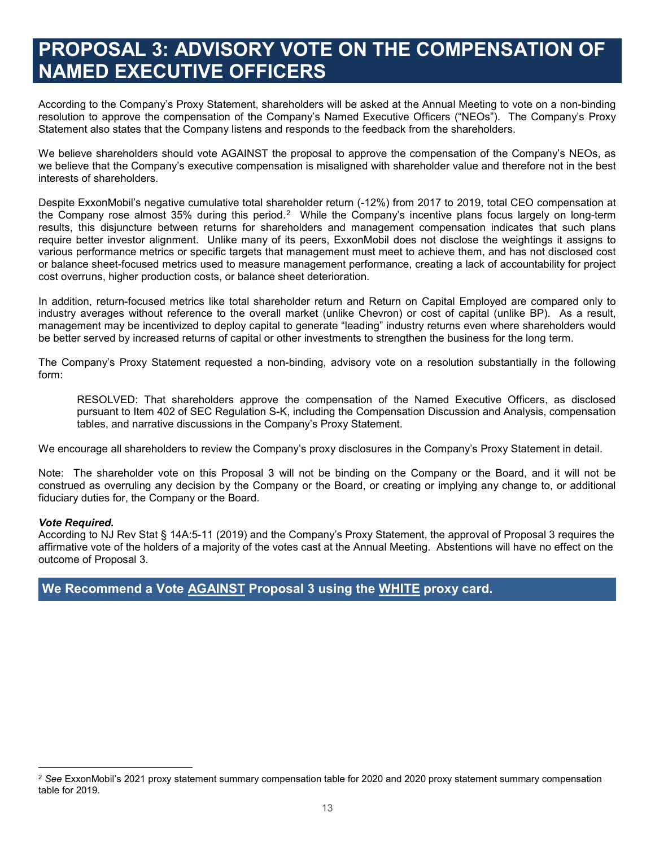### **PROPOSAL 3: ADVISORY VOTE ON THE COMPENSATION OF NAMED EXECUTIVE OFFICERS**

According to the Company's Proxy Statement, shareholders will be asked at the Annual Meeting to vote on a non-binding resolution to approve the compensation of the Company's Named Executive Officers ("NEOs"). The Company's Proxy Statement also states that the Company listens and responds to the feedback from the shareholders.

We believe shareholders should vote AGAINST the proposal to approve the compensation of the Company's NEOs, as we believe that the Company's executive compensation is misaligned with shareholder value and therefore not in the best interests of shareholders.

Despite ExxonMobil's negative cumulative total shareholder return (-12%) from 2017 to 2019, total CEO compensation at the Company rose almost 35% during this period.<sup>[2](#page-12-0)</sup> While the Company's incentive plans focus largely on long-term results, this disjuncture between returns for shareholders and management compensation indicates that such plans require better investor alignment. Unlike many of its peers, ExxonMobil does not disclose the weightings it assigns to various performance metrics or specific targets that management must meet to achieve them, and has not disclosed cost or balance sheet-focused metrics used to measure management performance, creating a lack of accountability for project cost overruns, higher production costs, or balance sheet deterioration.

In addition, return-focused metrics like total shareholder return and Return on Capital Employed are compared only to industry averages without reference to the overall market (unlike Chevron) or cost of capital (unlike BP). As a result, management may be incentivized to deploy capital to generate "leading" industry returns even where shareholders would be better served by increased returns of capital or other investments to strengthen the business for the long term.

The Company's Proxy Statement requested a non-binding, advisory vote on a resolution substantially in the following form:

RESOLVED: That shareholders approve the compensation of the Named Executive Officers, as disclosed pursuant to Item 402 of SEC Regulation S-K, including the Compensation Discussion and Analysis, compensation tables, and narrative discussions in the Company's Proxy Statement.

We encourage all shareholders to review the Company's proxy disclosures in the Company's Proxy Statement in detail.

Note: The shareholder vote on this Proposal 3 will not be binding on the Company or the Board, and it will not be construed as overruling any decision by the Company or the Board, or creating or implying any change to, or additional fiduciary duties for, the Company or the Board.

#### *Vote Required.*

 $\overline{a}$ 

According to NJ Rev Stat § 14A:5-11 (2019) and the Company's Proxy Statement, the approval of Proposal 3 requires the affirmative vote of the holders of a majority of the votes cast at the Annual Meeting. Abstentions will have no effect on the outcome of Proposal 3.

#### **We Recommend a Vote AGAINST Proposal 3 using the WHITE proxy card.**

<span id="page-12-0"></span><sup>2</sup> *See* ExxonMobil's 2021 proxy statement summary compensation table for 2020 and 2020 proxy statement summary compensation table for 2019.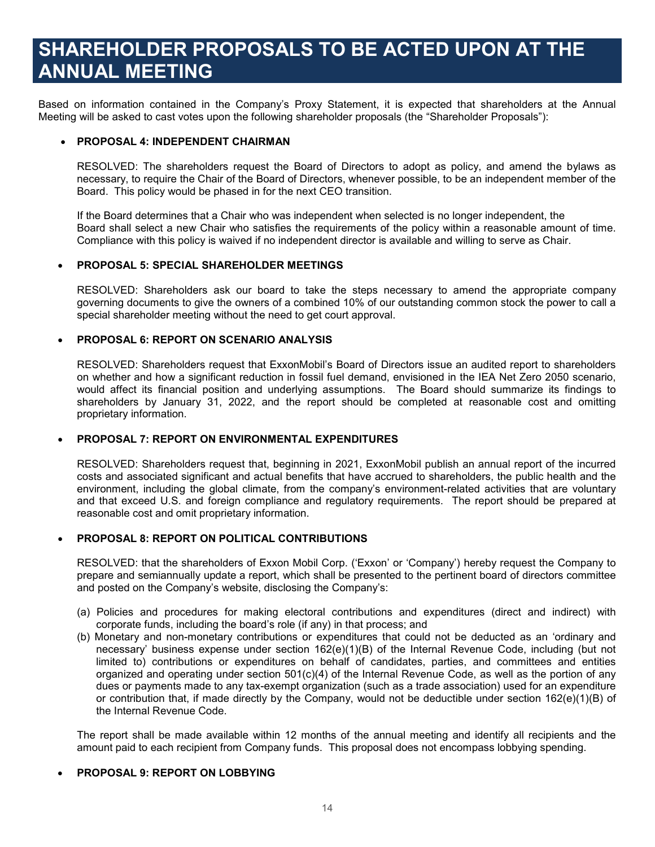### **SHAREHOLDER PROPOSALS TO BE ACTED UPON AT THE ANNUAL MEETING**

Based on information contained in the Company's Proxy Statement, it is expected that shareholders at the Annual Meeting will be asked to cast votes upon the following shareholder proposals (the "Shareholder Proposals"):

#### • **PROPOSAL 4: INDEPENDENT CHAIRMAN**

RESOLVED: The shareholders request the Board of Directors to adopt as policy, and amend the bylaws as necessary, to require the Chair of the Board of Directors, whenever possible, to be an independent member of the Board. This policy would be phased in for the next CEO transition.

If the Board determines that a Chair who was independent when selected is no longer independent, the Board shall select a new Chair who satisfies the requirements of the policy within a reasonable amount of time. Compliance with this policy is waived if no independent director is available and willing to serve as Chair.

#### • **PROPOSAL 5: SPECIAL SHAREHOLDER MEETINGS**

RESOLVED: Shareholders ask our board to take the steps necessary to amend the appropriate company governing documents to give the owners of a combined 10% of our outstanding common stock the power to call a special shareholder meeting without the need to get court approval.

#### • **PROPOSAL 6: REPORT ON SCENARIO ANALYSIS**

RESOLVED: Shareholders request that ExxonMobil's Board of Directors issue an audited report to shareholders on whether and how a significant reduction in fossil fuel demand, envisioned in the IEA Net Zero 2050 scenario, would affect its financial position and underlying assumptions. The Board should summarize its findings to shareholders by January 31, 2022, and the report should be completed at reasonable cost and omitting proprietary information.

#### • **PROPOSAL 7: REPORT ON ENVIRONMENTAL EXPENDITURES**

RESOLVED: Shareholders request that, beginning in 2021, ExxonMobil publish an annual report of the incurred costs and associated significant and actual benefits that have accrued to shareholders, the public health and the environment, including the global climate, from the company's environment-related activities that are voluntary and that exceed U.S. and foreign compliance and regulatory requirements. The report should be prepared at reasonable cost and omit proprietary information.

#### • **PROPOSAL 8: REPORT ON POLITICAL CONTRIBUTIONS**

RESOLVED: that the shareholders of Exxon Mobil Corp. ('Exxon' or 'Company') hereby request the Company to prepare and semiannually update a report, which shall be presented to the pertinent board of directors committee and posted on the Company's website, disclosing the Company's:

- (a) Policies and procedures for making electoral contributions and expenditures (direct and indirect) with corporate funds, including the board's role (if any) in that process; and
- (b) Monetary and non-monetary contributions or expenditures that could not be deducted as an 'ordinary and necessary' business expense under section 162(e)(1)(B) of the Internal Revenue Code, including (but not limited to) contributions or expenditures on behalf of candidates, parties, and committees and entities organized and operating under section 501(c)(4) of the Internal Revenue Code, as well as the portion of any dues or payments made to any tax-exempt organization (such as a trade association) used for an expenditure or contribution that, if made directly by the Company, would not be deductible under section 162(e)(1)(B) of the Internal Revenue Code.

The report shall be made available within 12 months of the annual meeting and identify all recipients and the amount paid to each recipient from Company funds. This proposal does not encompass lobbying spending.

#### • **PROPOSAL 9: REPORT ON LOBBYING**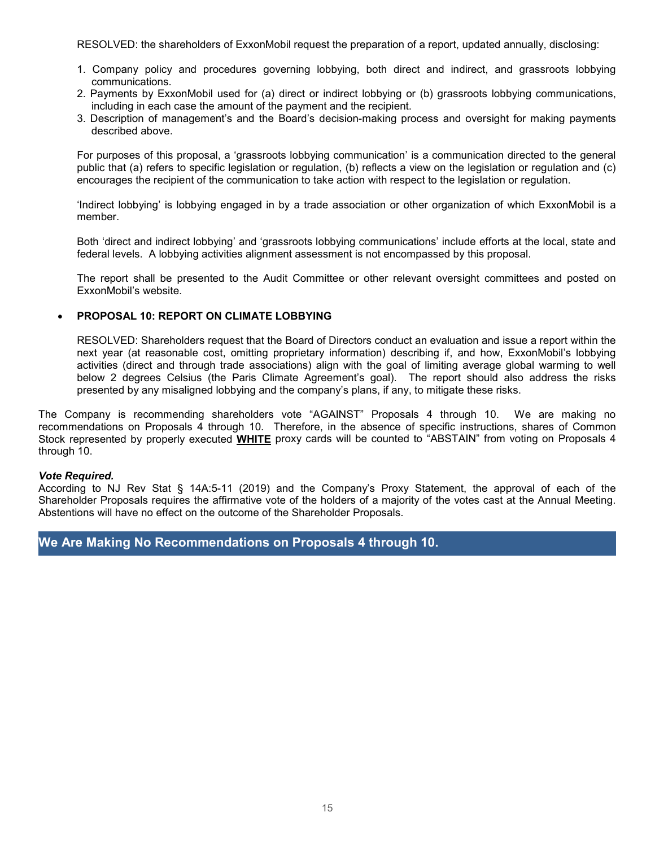RESOLVED: the shareholders of ExxonMobil request the preparation of a report, updated annually, disclosing:

- 1. Company policy and procedures governing lobbying, both direct and indirect, and grassroots lobbying communications.
- 2. Payments by ExxonMobil used for (a) direct or indirect lobbying or (b) grassroots lobbying communications, including in each case the amount of the payment and the recipient.
- 3. Description of management's and the Board's decision-making process and oversight for making payments described above.

For purposes of this proposal, a 'grassroots lobbying communication' is a communication directed to the general public that (a) refers to specific legislation or regulation, (b) reflects a view on the legislation or regulation and (c) encourages the recipient of the communication to take action with respect to the legislation or regulation.

'Indirect lobbying' is lobbying engaged in by a trade association or other organization of which ExxonMobil is a member.

Both 'direct and indirect lobbying' and 'grassroots lobbying communications' include efforts at the local, state and federal levels. A lobbying activities alignment assessment is not encompassed by this proposal.

The report shall be presented to the Audit Committee or other relevant oversight committees and posted on ExxonMobil's website.

#### • **PROPOSAL 10: REPORT ON CLIMATE LOBBYING**

RESOLVED: Shareholders request that the Board of Directors conduct an evaluation and issue a report within the next year (at reasonable cost, omitting proprietary information) describing if, and how, ExxonMobil's lobbying activities (direct and through trade associations) align with the goal of limiting average global warming to well below 2 degrees Celsius (the Paris Climate Agreement's goal). The report should also address the risks presented by any misaligned lobbying and the company's plans, if any, to mitigate these risks.

The Company is recommending shareholders vote "AGAINST" Proposals 4 through 10. We are making no recommendations on Proposals 4 through 10. Therefore, in the absence of specific instructions, shares of Common Stock represented by properly executed **WHITE** proxy cards will be counted to "ABSTAIN" from voting on Proposals 4 through 10.

#### *Vote Required.*

According to NJ Rev Stat § 14A:5-11 (2019) and the Company's Proxy Statement, the approval of each of the Shareholder Proposals requires the affirmative vote of the holders of a majority of the votes cast at the Annual Meeting. Abstentions will have no effect on the outcome of the Shareholder Proposals.

#### **We Are Making No Recommendations on Proposals 4 through 10.**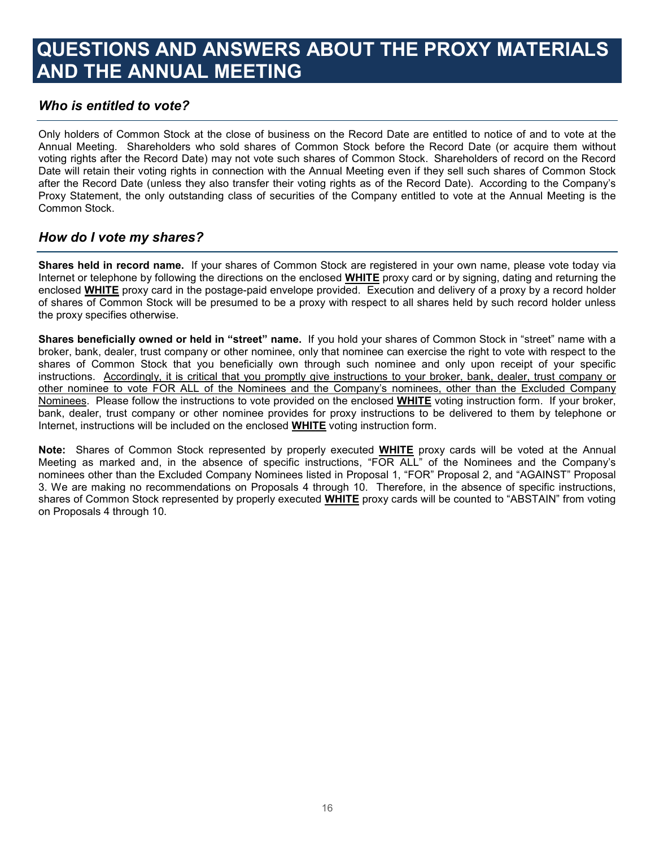## **QUESTIONS AND ANSWERS ABOUT THE PROXY MATERIALS AND THE ANNUAL MEETING**

#### *Who is entitled to vote?*

Only holders of Common Stock at the close of business on the Record Date are entitled to notice of and to vote at the Annual Meeting. Shareholders who sold shares of Common Stock before the Record Date (or acquire them without voting rights after the Record Date) may not vote such shares of Common Stock. Shareholders of record on the Record Date will retain their voting rights in connection with the Annual Meeting even if they sell such shares of Common Stock after the Record Date (unless they also transfer their voting rights as of the Record Date). According to the Company's Proxy Statement, the only outstanding class of securities of the Company entitled to vote at the Annual Meeting is the Common Stock.

#### *How do I vote my shares?*

**Shares held in record name.** If your shares of Common Stock are registered in your own name, please vote today via Internet or telephone by following the directions on the enclosed **WHITE** proxy card or by signing, dating and returning the enclosed **WHITE** proxy card in the postage-paid envelope provided. Execution and delivery of a proxy by a record holder of shares of Common Stock will be presumed to be a proxy with respect to all shares held by such record holder unless the proxy specifies otherwise.

**Shares beneficially owned or held in "street" name.** If you hold your shares of Common Stock in "street" name with a broker, bank, dealer, trust company or other nominee, only that nominee can exercise the right to vote with respect to the shares of Common Stock that you beneficially own through such nominee and only upon receipt of your specific instructions. Accordingly, it is critical that you promptly give instructions to your broker, bank, dealer, trust company or other nominee to vote FOR ALL of the Nominees and the Company's nominees, other than the Excluded Company Nominees. Please follow the instructions to vote provided on the enclosed **WHITE** voting instruction form. If your broker, bank, dealer, trust company or other nominee provides for proxy instructions to be delivered to them by telephone or Internet, instructions will be included on the enclosed **WHITE** voting instruction form.

**Note:** Shares of Common Stock represented by properly executed **WHITE** proxy cards will be voted at the Annual Meeting as marked and, in the absence of specific instructions, "FOR ALL" of the Nominees and the Company's nominees other than the Excluded Company Nominees listed in Proposal 1, "FOR" Proposal 2, and "AGAINST" Proposal 3. We are making no recommendations on Proposals 4 through 10. Therefore, in the absence of specific instructions, shares of Common Stock represented by properly executed **WHITE** proxy cards will be counted to "ABSTAIN" from voting on Proposals 4 through 10.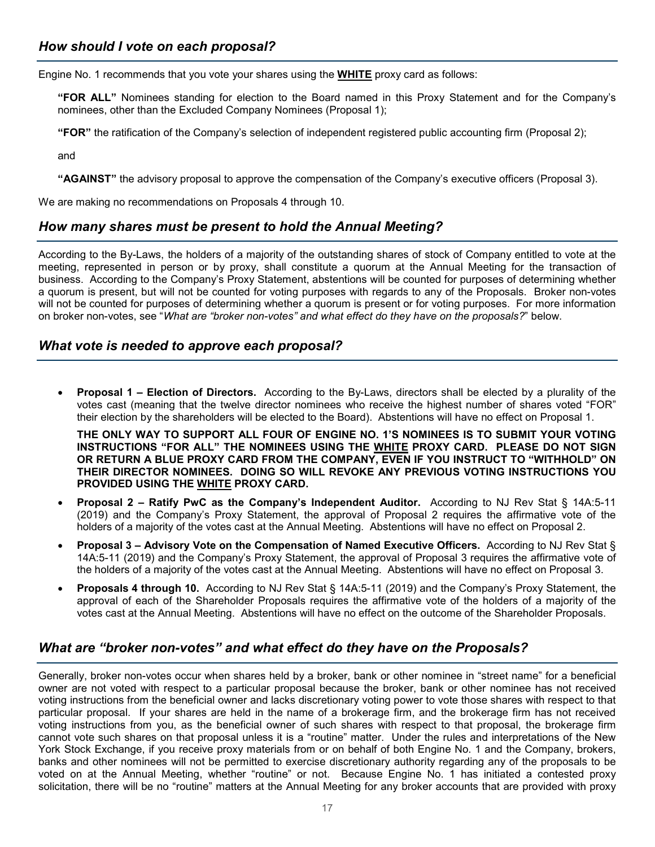Engine No. 1 recommends that you vote your shares using the **WHITE** proxy card as follows:

**"FOR ALL"** Nominees standing for election to the Board named in this Proxy Statement and for the Company's nominees, other than the Excluded Company Nominees (Proposal 1);

**"FOR"** the ratification of the Company's selection of independent registered public accounting firm (Proposal 2);

and

**"AGAINST"** the advisory proposal to approve the compensation of the Company's executive officers (Proposal 3).

We are making no recommendations on Proposals 4 through 10.

#### *How many shares must be present to hold the Annual Meeting?*

According to the By-Laws, the holders of a majority of the outstanding shares of stock of Company entitled to vote at the meeting, represented in person or by proxy, shall constitute a quorum at the Annual Meeting for the transaction of business. According to the Company's Proxy Statement, abstentions will be counted for purposes of determining whether a quorum is present, but will not be counted for voting purposes with regards to any of the Proposals. Broker non-votes will not be counted for purposes of determining whether a quorum is present or for voting purposes. For more information on broker non-votes, see "*What are "broker non-votes" and what effect do they have on the proposals?*" below.

#### *What vote is needed to approve each proposal?*

• **Proposal 1 – Election of Directors.** According to the By-Laws, directors shall be elected by a plurality of the votes cast (meaning that the twelve director nominees who receive the highest number of shares voted "FOR" their election by the shareholders will be elected to the Board). Abstentions will have no effect on Proposal 1.

**THE ONLY WAY TO SUPPORT ALL FOUR OF ENGINE NO. 1'S NOMINEES IS TO SUBMIT YOUR VOTING INSTRUCTIONS "FOR ALL" THE NOMINEES USING THE WHITE PROXY CARD. PLEASE DO NOT SIGN OR RETURN A BLUE PROXY CARD FROM THE COMPANY, EVEN IF YOU INSTRUCT TO "WITHHOLD" ON THEIR DIRECTOR NOMINEES. DOING SO WILL REVOKE ANY PREVIOUS VOTING INSTRUCTIONS YOU PROVIDED USING THE WHITE PROXY CARD.**

- **Proposal 2 – Ratify PwC as the Company's Independent Auditor.** According to NJ Rev Stat § 14A:5-11 (2019) and the Company's Proxy Statement, the approval of Proposal 2 requires the affirmative vote of the holders of a majority of the votes cast at the Annual Meeting. Abstentions will have no effect on Proposal 2.
- **Proposal 3 – Advisory Vote on the Compensation of Named Executive Officers.** According to NJ Rev Stat § 14A:5-11 (2019) and the Company's Proxy Statement, the approval of Proposal 3 requires the affirmative vote of the holders of a majority of the votes cast at the Annual Meeting. Abstentions will have no effect on Proposal 3.
- **Proposals 4 through 10.** According to NJ Rev Stat § 14A:5-11 (2019) and the Company's Proxy Statement, the approval of each of the Shareholder Proposals requires the affirmative vote of the holders of a majority of the votes cast at the Annual Meeting. Abstentions will have no effect on the outcome of the Shareholder Proposals.

#### *What are "broker non-votes" and what effect do they have on the Proposals?*

Generally, broker non-votes occur when shares held by a broker, bank or other nominee in "street name" for a beneficial owner are not voted with respect to a particular proposal because the broker, bank or other nominee has not received voting instructions from the beneficial owner and lacks discretionary voting power to vote those shares with respect to that particular proposal. If your shares are held in the name of a brokerage firm, and the brokerage firm has not received voting instructions from you, as the beneficial owner of such shares with respect to that proposal, the brokerage firm cannot vote such shares on that proposal unless it is a "routine" matter. Under the rules and interpretations of the New York Stock Exchange, if you receive proxy materials from or on behalf of both Engine No. 1 and the Company, brokers, banks and other nominees will not be permitted to exercise discretionary authority regarding any of the proposals to be voted on at the Annual Meeting, whether "routine" or not. Because Engine No. 1 has initiated a contested proxy solicitation, there will be no "routine" matters at the Annual Meeting for any broker accounts that are provided with proxy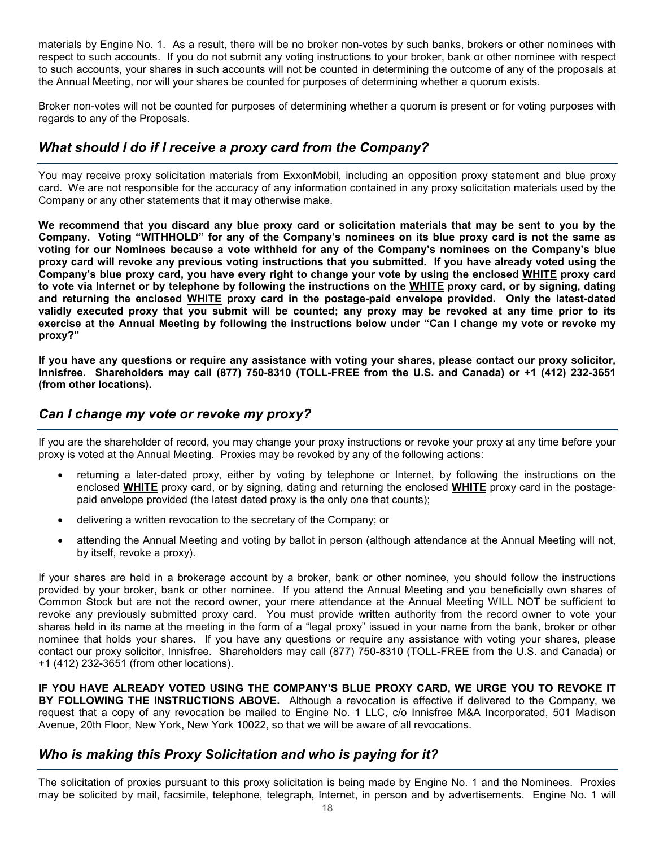materials by Engine No. 1. As a result, there will be no broker non-votes by such banks, brokers or other nominees with respect to such accounts. If you do not submit any voting instructions to your broker, bank or other nominee with respect to such accounts, your shares in such accounts will not be counted in determining the outcome of any of the proposals at the Annual Meeting, nor will your shares be counted for purposes of determining whether a quorum exists.

Broker non-votes will not be counted for purposes of determining whether a quorum is present or for voting purposes with regards to any of the Proposals.

#### *What should I do if I receive a proxy card from the Company?*

You may receive proxy solicitation materials from ExxonMobil, including an opposition proxy statement and blue proxy card. We are not responsible for the accuracy of any information contained in any proxy solicitation materials used by the Company or any other statements that it may otherwise make.

**We recommend that you discard any blue proxy card or solicitation materials that may be sent to you by the Company. Voting "WITHHOLD" for any of the Company's nominees on its blue proxy card is not the same as voting for our Nominees because a vote withheld for any of the Company's nominees on the Company's blue proxy card will revoke any previous voting instructions that you submitted. If you have already voted using the Company's blue proxy card, you have every right to change your vote by using the enclosed WHITE proxy card to vote via Internet or by telephone by following the instructions on the WHITE proxy card, or by signing, dating and returning the enclosed WHITE proxy card in the postage-paid envelope provided. Only the latest-dated validly executed proxy that you submit will be counted; any proxy may be revoked at any time prior to its exercise at the Annual Meeting by following the instructions below under "Can I change my vote or revoke my proxy?"**

**If you have any questions or require any assistance with voting your shares, please contact our proxy solicitor, Innisfree. Shareholders may call (877) 750-8310 (TOLL-FREE from the U.S. and Canada) or +1 (412) 232-3651 (from other locations).**

#### *Can I change my vote or revoke my proxy?*

If you are the shareholder of record, you may change your proxy instructions or revoke your proxy at any time before your proxy is voted at the Annual Meeting. Proxies may be revoked by any of the following actions:

- returning a later-dated proxy, either by voting by telephone or Internet, by following the instructions on the enclosed **WHITE** proxy card, or by signing, dating and returning the enclosed **WHITE** proxy card in the postagepaid envelope provided (the latest dated proxy is the only one that counts);
- delivering a written revocation to the secretary of the Company; or
- attending the Annual Meeting and voting by ballot in person (although attendance at the Annual Meeting will not, by itself, revoke a proxy).

If your shares are held in a brokerage account by a broker, bank or other nominee, you should follow the instructions provided by your broker, bank or other nominee. If you attend the Annual Meeting and you beneficially own shares of Common Stock but are not the record owner, your mere attendance at the Annual Meeting WILL NOT be sufficient to revoke any previously submitted proxy card. You must provide written authority from the record owner to vote your shares held in its name at the meeting in the form of a "legal proxy" issued in your name from the bank, broker or other nominee that holds your shares. If you have any questions or require any assistance with voting your shares, please contact our proxy solicitor, Innisfree. Shareholders may call (877) 750-8310 (TOLL-FREE from the U.S. and Canada) or +1 (412) 232-3651 (from other locations).

**IF YOU HAVE ALREADY VOTED USING THE COMPANY'S BLUE PROXY CARD, WE URGE YOU TO REVOKE IT BY FOLLOWING THE INSTRUCTIONS ABOVE.** Although a revocation is effective if delivered to the Company, we request that a copy of any revocation be mailed to Engine No. 1 LLC, c/o Innisfree M&A Incorporated, 501 Madison Avenue, 20th Floor, New York, New York 10022, so that we will be aware of all revocations.

#### *Who is making this Proxy Solicitation and who is paying for it?*

The solicitation of proxies pursuant to this proxy solicitation is being made by Engine No. 1 and the Nominees. Proxies may be solicited by mail, facsimile, telephone, telegraph, Internet, in person and by advertisements. Engine No. 1 will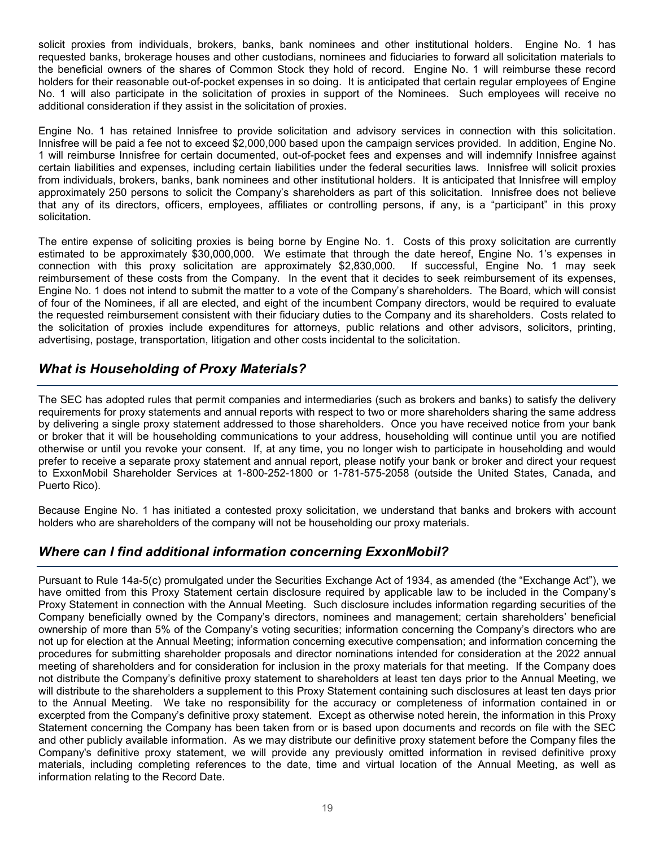solicit proxies from individuals, brokers, banks, bank nominees and other institutional holders. Engine No. 1 has requested banks, brokerage houses and other custodians, nominees and fiduciaries to forward all solicitation materials to the beneficial owners of the shares of Common Stock they hold of record. Engine No. 1 will reimburse these record holders for their reasonable out-of-pocket expenses in so doing. It is anticipated that certain regular employees of Engine No. 1 will also participate in the solicitation of proxies in support of the Nominees. Such employees will receive no additional consideration if they assist in the solicitation of proxies.

Engine No. 1 has retained Innisfree to provide solicitation and advisory services in connection with this solicitation. Innisfree will be paid a fee not to exceed \$2,000,000 based upon the campaign services provided. In addition, Engine No. 1 will reimburse Innisfree for certain documented, out-of-pocket fees and expenses and will indemnify Innisfree against certain liabilities and expenses, including certain liabilities under the federal securities laws. Innisfree will solicit proxies from individuals, brokers, banks, bank nominees and other institutional holders. It is anticipated that Innisfree will employ approximately 250 persons to solicit the Company's shareholders as part of this solicitation. Innisfree does not believe that any of its directors, officers, employees, affiliates or controlling persons, if any, is a "participant" in this proxy solicitation.

The entire expense of soliciting proxies is being borne by Engine No. 1. Costs of this proxy solicitation are currently estimated to be approximately \$30,000,000. We estimate that through the date hereof, Engine No. 1's expenses in connection with this proxy solicitation are approximately \$2,830,000. If successful, Engine No. 1 may seek reimbursement of these costs from the Company. In the event that it decides to seek reimbursement of its expenses, Engine No. 1 does not intend to submit the matter to a vote of the Company's shareholders. The Board, which will consist of four of the Nominees, if all are elected, and eight of the incumbent Company directors, would be required to evaluate the requested reimbursement consistent with their fiduciary duties to the Company and its shareholders. Costs related to the solicitation of proxies include expenditures for attorneys, public relations and other advisors, solicitors, printing, advertising, postage, transportation, litigation and other costs incidental to the solicitation.

### *What is Householding of Proxy Materials?*

The SEC has adopted rules that permit companies and intermediaries (such as brokers and banks) to satisfy the delivery requirements for proxy statements and annual reports with respect to two or more shareholders sharing the same address by delivering a single proxy statement addressed to those shareholders. Once you have received notice from your bank or broker that it will be householding communications to your address, householding will continue until you are notified otherwise or until you revoke your consent. If, at any time, you no longer wish to participate in householding and would prefer to receive a separate proxy statement and annual report, please notify your bank or broker and direct your request to ExxonMobil Shareholder Services at 1-800-252-1800 or 1-781-575-2058 (outside the United States, Canada, and Puerto Rico).

Because Engine No. 1 has initiated a contested proxy solicitation, we understand that banks and brokers with account holders who are shareholders of the company will not be householding our proxy materials.

#### *Where can I find additional information concerning ExxonMobil?*

Pursuant to Rule 14a-5(c) promulgated under the Securities Exchange Act of 1934, as amended (the "Exchange Act"), we have omitted from this Proxy Statement certain disclosure required by applicable law to be included in the Company's Proxy Statement in connection with the Annual Meeting. Such disclosure includes information regarding securities of the Company beneficially owned by the Company's directors, nominees and management; certain shareholders' beneficial ownership of more than 5% of the Company's voting securities; information concerning the Company's directors who are not up for election at the Annual Meeting; information concerning executive compensation; and information concerning the procedures for submitting shareholder proposals and director nominations intended for consideration at the 2022 annual meeting of shareholders and for consideration for inclusion in the proxy materials for that meeting. If the Company does not distribute the Company's definitive proxy statement to shareholders at least ten days prior to the Annual Meeting, we will distribute to the shareholders a supplement to this Proxy Statement containing such disclosures at least ten days prior to the Annual Meeting. We take no responsibility for the accuracy or completeness of information contained in or excerpted from the Company's definitive proxy statement. Except as otherwise noted herein, the information in this Proxy Statement concerning the Company has been taken from or is based upon documents and records on file with the SEC and other publicly available information. As we may distribute our definitive proxy statement before the Company files the Company's definitive proxy statement, we will provide any previously omitted information in revised definitive proxy materials, including completing references to the date, time and virtual location of the Annual Meeting, as well as information relating to the Record Date.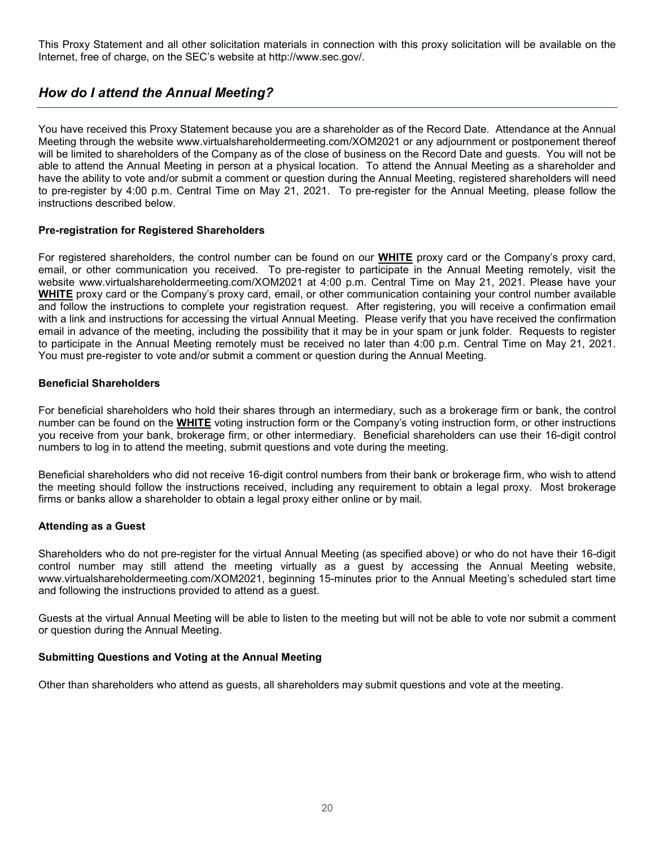This Proxy Statement and all other solicitation materials in connection with this proxy solicitation will be available on the Internet, free of charge, on the SEC's website at http://www.sec.gov/.

### *How do I attend the Annual Meeting?*

You have received this Proxy Statement because you are a shareholder as of the Record Date. Attendance at the Annual Meeting through the website www.virtualshareholdermeeting.com/XOM2021 or any adjournment or postponement thereof will be limited to shareholders of the Company as of the close of business on the Record Date and guests. You will not be able to attend the Annual Meeting in person at a physical location. To attend the Annual Meeting as a shareholder and have the ability to vote and/or submit a comment or question during the Annual Meeting, registered shareholders will need to pre-register by 4:00 p.m. Central Time on May 21, 2021. To pre-register for the Annual Meeting, please follow the instructions described below.

#### **Pre-registration for Registered Shareholders**

For registered shareholders, the control number can be found on our **WHITE** proxy card or the Company's proxy card, email, or other communication you received. To pre-register to participate in the Annual Meeting remotely, visit the website www.virtualshareholdermeeting.com/XOM2021 at 4:00 p.m. Central Time on May 21, 2021. Please have your **WHITE** proxy card or the Company's proxy card, email, or other communication containing your control number available and follow the instructions to complete your registration request. After registering, you will receive a confirmation email with a link and instructions for accessing the virtual Annual Meeting. Please verify that you have received the confirmation email in advance of the meeting, including the possibility that it may be in your spam or junk folder. Requests to register to participate in the Annual Meeting remotely must be received no later than 4:00 p.m. Central Time on May 21, 2021. You must pre-register to vote and/or submit a comment or question during the Annual Meeting.

#### **Beneficial Shareholders**

For beneficial shareholders who hold their shares through an intermediary, such as a brokerage firm or bank, the control number can be found on the **WHITE** voting instruction form or the Company's voting instruction form, or other instructions you receive from your bank, brokerage firm, or other intermediary. Beneficial shareholders can use their 16-digit control numbers to log in to attend the meeting, submit questions and vote during the meeting.

Beneficial shareholders who did not receive 16-digit control numbers from their bank or brokerage firm, who wish to attend the meeting should follow the instructions received, including any requirement to obtain a legal proxy. Most brokerage firms or banks allow a shareholder to obtain a legal proxy either online or by mail.

#### **Attending as a Guest**

Shareholders who do not pre-register for the virtual Annual Meeting (as specified above) or who do not have their 16-digit control number may still attend the meeting virtually as a guest by accessing the Annual Meeting website, www.virtualshareholdermeeting.com/XOM2021, beginning 15-minutes prior to the Annual Meeting's scheduled start time and following the instructions provided to attend as a guest.

Guests at the virtual Annual Meeting will be able to listen to the meeting but will not be able to vote nor submit a comment or question during the Annual Meeting.

#### **Submitting Questions and Voting at the Annual Meeting**

Other than shareholders who attend as guests, all shareholders may submit questions and vote at the meeting.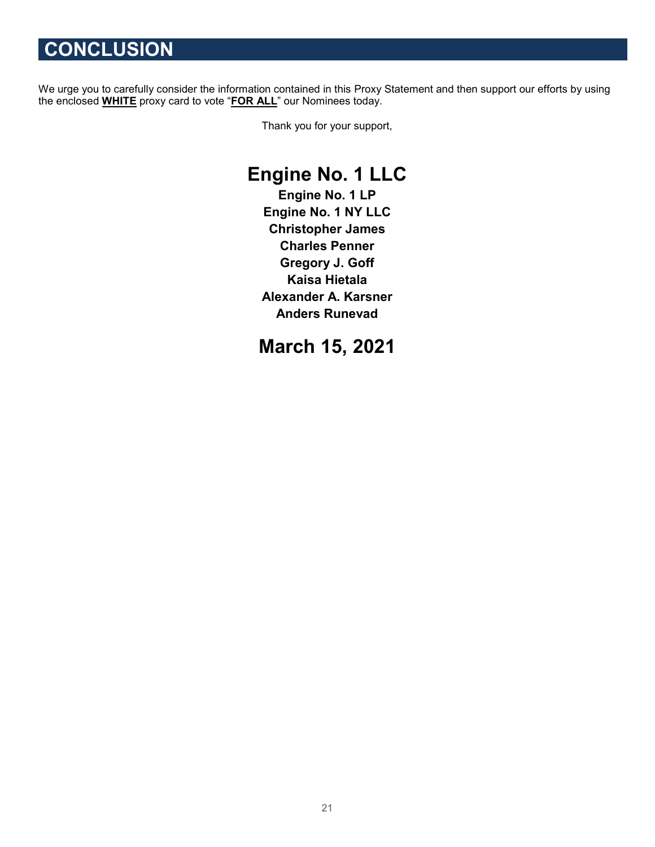# **CONCLUSION**

We urge you to carefully consider the information contained in this Proxy Statement and then support our efforts by using the enclosed **WHITE** proxy card to vote "**FOR ALL**" our Nominees today.

Thank you for your support,

## **Engine No. 1 LLC**

**Engine No. 1 LP Engine No. 1 NY LLC Christopher James Charles Penner Gregory J. Goff Kaisa Hietala Alexander A. Karsner Anders Runevad**

### **March 15, 2021**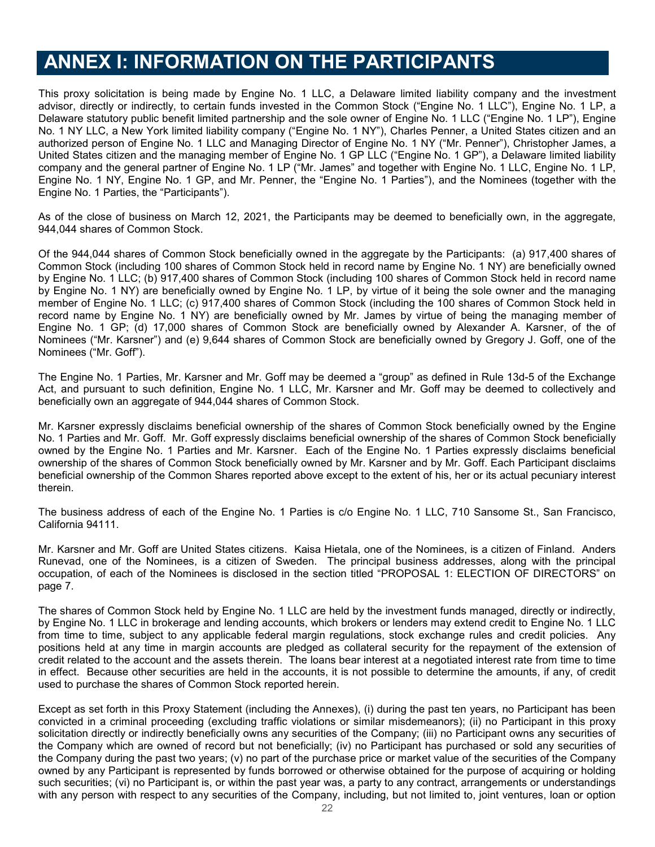## **ANNEX I: INFORMATION ON THE PARTICIPANTS**

This proxy solicitation is being made by Engine No. 1 LLC, a Delaware limited liability company and the investment advisor, directly or indirectly, to certain funds invested in the Common Stock ("Engine No. 1 LLC"), Engine No. 1 LP, a Delaware statutory public benefit limited partnership and the sole owner of Engine No. 1 LLC ("Engine No. 1 LP"), Engine No. 1 NY LLC, a New York limited liability company ("Engine No. 1 NY"), Charles Penner, a United States citizen and an authorized person of Engine No. 1 LLC and Managing Director of Engine No. 1 NY ("Mr. Penner"), Christopher James, a United States citizen and the managing member of Engine No. 1 GP LLC ("Engine No. 1 GP"), a Delaware limited liability company and the general partner of Engine No. 1 LP ("Mr. James" and together with Engine No. 1 LLC, Engine No. 1 LP, Engine No. 1 NY, Engine No. 1 GP, and Mr. Penner, the "Engine No. 1 Parties"), and the Nominees (together with the Engine No. 1 Parties, the "Participants").

As of the close of business on March 12, 2021, the Participants may be deemed to beneficially own, in the aggregate, 944,044 shares of Common Stock.

Of the 944,044 shares of Common Stock beneficially owned in the aggregate by the Participants: (a) 917,400 shares of Common Stock (including 100 shares of Common Stock held in record name by Engine No. 1 NY) are beneficially owned by Engine No. 1 LLC; (b) 917,400 shares of Common Stock (including 100 shares of Common Stock held in record name by Engine No. 1 NY) are beneficially owned by Engine No. 1 LP, by virtue of it being the sole owner and the managing member of Engine No. 1 LLC; (c) 917,400 shares of Common Stock (including the 100 shares of Common Stock held in record name by Engine No. 1 NY) are beneficially owned by Mr. James by virtue of being the managing member of Engine No. 1 GP; (d) 17,000 shares of Common Stock are beneficially owned by Alexander A. Karsner, of the of Nominees ("Mr. Karsner") and (e) 9,644 shares of Common Stock are beneficially owned by Gregory J. Goff, one of the Nominees ("Mr. Goff").

The Engine No. 1 Parties, Mr. Karsner and Mr. Goff may be deemed a "group" as defined in Rule 13d-5 of the Exchange Act, and pursuant to such definition, Engine No. 1 LLC, Mr. Karsner and Mr. Goff may be deemed to collectively and beneficially own an aggregate of 944,044 shares of Common Stock.

Mr. Karsner expressly disclaims beneficial ownership of the shares of Common Stock beneficially owned by the Engine No. 1 Parties and Mr. Goff. Mr. Goff expressly disclaims beneficial ownership of the shares of Common Stock beneficially owned by the Engine No. 1 Parties and Mr. Karsner. Each of the Engine No. 1 Parties expressly disclaims beneficial ownership of the shares of Common Stock beneficially owned by Mr. Karsner and by Mr. Goff. Each Participant disclaims beneficial ownership of the Common Shares reported above except to the extent of his, her or its actual pecuniary interest therein.

The business address of each of the Engine No. 1 Parties is c/o Engine No. 1 LLC, 710 Sansome St., San Francisco, California 94111.

Mr. Karsner and Mr. Goff are United States citizens. Kaisa Hietala, one of the Nominees, is a citizen of Finland. Anders Runevad, one of the Nominees, is a citizen of Sweden. The principal business addresses, along with the principal occupation, of each of the Nominees is disclosed in the section titled "PROPOSAL 1: ELECTION OF DIRECTORS" on page 7.

The shares of Common Stock held by Engine No. 1 LLC are held by the investment funds managed, directly or indirectly, by Engine No. 1 LLC in brokerage and lending accounts, which brokers or lenders may extend credit to Engine No. 1 LLC from time to time, subject to any applicable federal margin regulations, stock exchange rules and credit policies. Any positions held at any time in margin accounts are pledged as collateral security for the repayment of the extension of credit related to the account and the assets therein. The loans bear interest at a negotiated interest rate from time to time in effect. Because other securities are held in the accounts, it is not possible to determine the amounts, if any, of credit used to purchase the shares of Common Stock reported herein.

Except as set forth in this Proxy Statement (including the Annexes), (i) during the past ten years, no Participant has been convicted in a criminal proceeding (excluding traffic violations or similar misdemeanors); (ii) no Participant in this proxy solicitation directly or indirectly beneficially owns any securities of the Company; (iii) no Participant owns any securities of the Company which are owned of record but not beneficially; (iv) no Participant has purchased or sold any securities of the Company during the past two years; (v) no part of the purchase price or market value of the securities of the Company owned by any Participant is represented by funds borrowed or otherwise obtained for the purpose of acquiring or holding such securities; (vi) no Participant is, or within the past year was, a party to any contract, arrangements or understandings with any person with respect to any securities of the Company, including, but not limited to, joint ventures, loan or option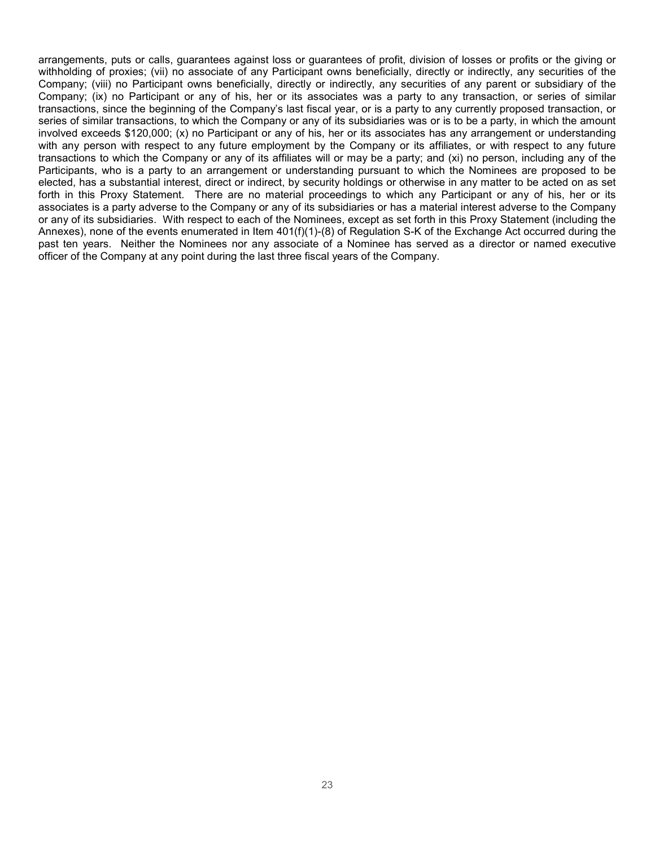arrangements, puts or calls, guarantees against loss or guarantees of profit, division of losses or profits or the giving or withholding of proxies; (vii) no associate of any Participant owns beneficially, directly or indirectly, any securities of the Company; (viii) no Participant owns beneficially, directly or indirectly, any securities of any parent or subsidiary of the Company; (ix) no Participant or any of his, her or its associates was a party to any transaction, or series of similar transactions, since the beginning of the Company's last fiscal year, or is a party to any currently proposed transaction, or series of similar transactions, to which the Company or any of its subsidiaries was or is to be a party, in which the amount involved exceeds \$120,000; (x) no Participant or any of his, her or its associates has any arrangement or understanding with any person with respect to any future employment by the Company or its affiliates, or with respect to any future transactions to which the Company or any of its affiliates will or may be a party; and (xi) no person, including any of the Participants, who is a party to an arrangement or understanding pursuant to which the Nominees are proposed to be elected, has a substantial interest, direct or indirect, by security holdings or otherwise in any matter to be acted on as set forth in this Proxy Statement. There are no material proceedings to which any Participant or any of his, her or its associates is a party adverse to the Company or any of its subsidiaries or has a material interest adverse to the Company or any of its subsidiaries. With respect to each of the Nominees, except as set forth in this Proxy Statement (including the Annexes), none of the events enumerated in Item 401(f)(1)-(8) of Regulation S-K of the Exchange Act occurred during the past ten years. Neither the Nominees nor any associate of a Nominee has served as a director or named executive officer of the Company at any point during the last three fiscal years of the Company.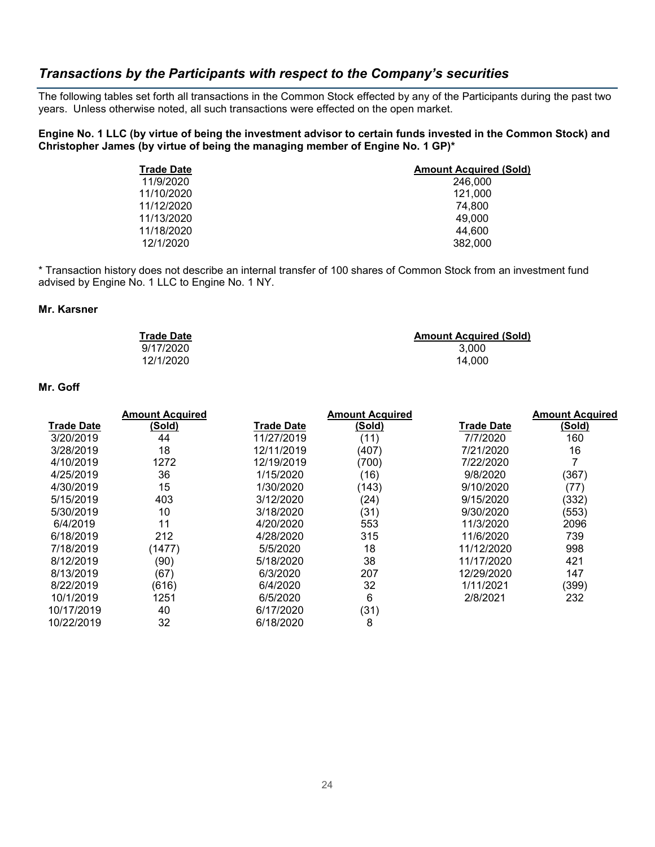#### *Transactions by the Participants with respect to the Company's securities*

The following tables set forth all transactions in the Common Stock effected by any of the Participants during the past two years. Unless otherwise noted, all such transactions were effected on the open market.

**Engine No. 1 LLC (by virtue of being the investment advisor to certain funds invested in the Common Stock) and Christopher James (by virtue of being the managing member of Engine No. 1 GP)\***

| <b>Trade Date</b> | <b>Amount Acquired (Sold)</b> |
|-------------------|-------------------------------|
| 11/9/2020         | 246,000                       |
| 11/10/2020        | 121.000                       |
| 11/12/2020        | 74.800                        |
| 11/13/2020        | 49,000                        |
| 11/18/2020        | 44.600                        |
| 12/1/2020         | 382,000                       |

\* Transaction history does not describe an internal transfer of 100 shares of Common Stock from an investment fund advised by Engine No. 1 LLC to Engine No. 1 NY.

#### **Mr. Karsner**

| <b>Trade Date</b> | <b>Amount Acquired (Sold)</b> |
|-------------------|-------------------------------|
| 9/17/2020         | 3.000                         |
| 12/1/2020         | 14.000                        |

#### **Mr. Goff**

|                   | <b>Amount Acquired</b> |                   | <b>Amount Acquired</b> |            | <b>Amount Acquired</b> |
|-------------------|------------------------|-------------------|------------------------|------------|------------------------|
| <b>Trade Date</b> | (Sold)                 | <b>Trade Date</b> | (Sold)                 | Trade Date | (Sold)                 |
| 3/20/2019         | 44                     | 11/27/2019        | (11)                   | 7/7/2020   | 160                    |
| 3/28/2019         | 18                     | 12/11/2019        | (407)                  | 7/21/2020  | 16                     |
| 4/10/2019         | 1272                   | 12/19/2019        | (700)                  | 7/22/2020  | 7                      |
| 4/25/2019         | 36                     | 1/15/2020         | (16)                   | 9/8/2020   | (367)                  |
| 4/30/2019         | 15                     | 1/30/2020         | (143)                  | 9/10/2020  | (77)                   |
| 5/15/2019         | 403                    | 3/12/2020         | (24)                   | 9/15/2020  | (332)                  |
| 5/30/2019         | 10                     | 3/18/2020         | (31)                   | 9/30/2020  | (553)                  |
| 6/4/2019          | 11                     | 4/20/2020         | 553                    | 11/3/2020  | 2096                   |
| 6/18/2019         | 212                    | 4/28/2020         | 315                    | 11/6/2020  | 739                    |
| 7/18/2019         | (1477)                 | 5/5/2020          | 18                     | 11/12/2020 | 998                    |
| 8/12/2019         | (90)                   | 5/18/2020         | 38                     | 11/17/2020 | 421                    |
| 8/13/2019         | (67)                   | 6/3/2020          | 207                    | 12/29/2020 | 147                    |
| 8/22/2019         | (616)                  | 6/4/2020          | 32                     | 1/11/2021  | (399)                  |
| 10/1/2019         | 1251                   | 6/5/2020          | 6                      | 2/8/2021   | 232                    |
| 10/17/2019        | 40                     | 6/17/2020         | (31)                   |            |                        |
| 10/22/2019        | 32                     | 6/18/2020         | 8                      |            |                        |